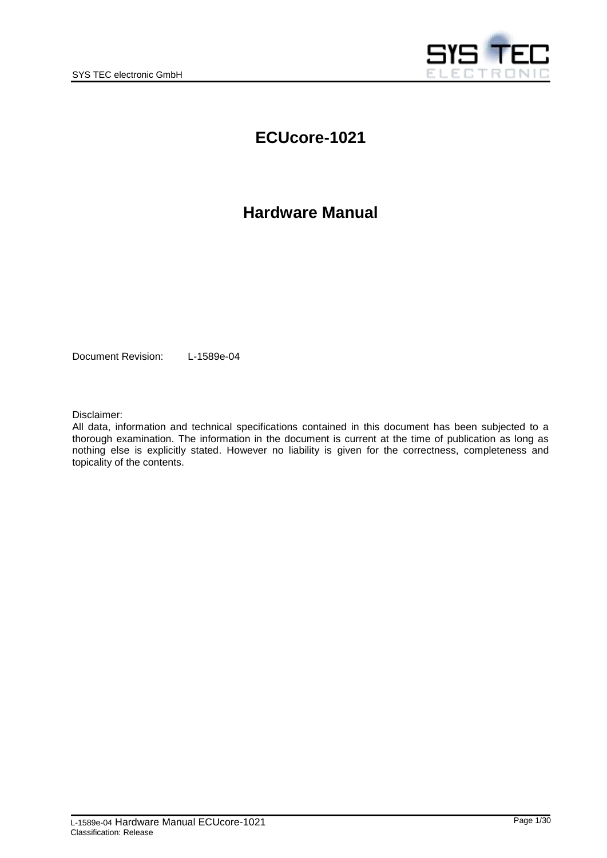

# **ECUcore-1021**

# **Hardware Manual**

Document Revision: L-1589e-04

Disclaimer:

All data, information and technical specifications contained in this document has been subjected to a thorough examination. The information in the document is current at the time of publication as long as nothing else is explicitly stated. However no liability is given for the correctness, completeness and topicality of the contents.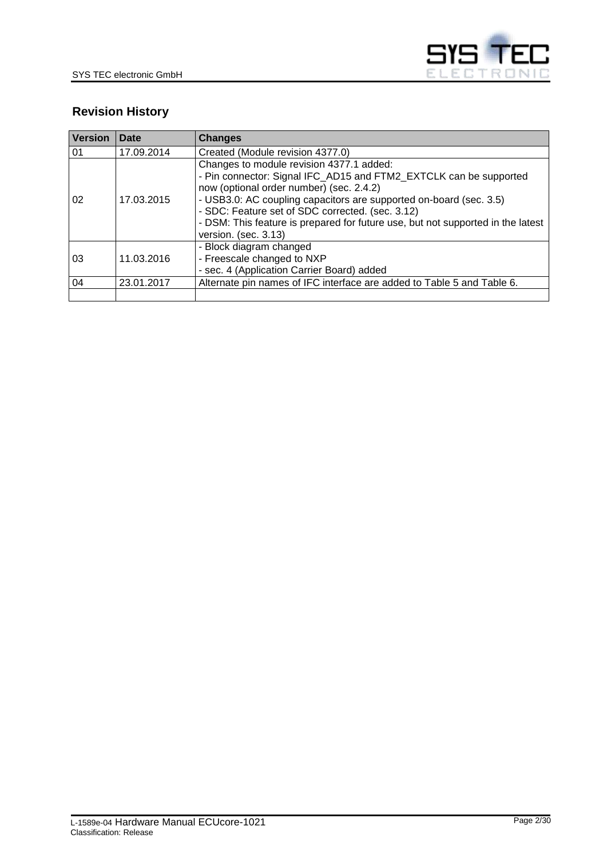

# **Revision History**

| <b>Version</b> | Date       | <b>Changes</b>                                                                                                                                                                                                                                                                                                                                                                                 |  |
|----------------|------------|------------------------------------------------------------------------------------------------------------------------------------------------------------------------------------------------------------------------------------------------------------------------------------------------------------------------------------------------------------------------------------------------|--|
| 01             | 17.09.2014 | Created (Module revision 4377.0)                                                                                                                                                                                                                                                                                                                                                               |  |
| 02             | 17.03.2015 | Changes to module revision 4377.1 added:<br>- Pin connector: Signal IFC_AD15 and FTM2_EXTCLK can be supported<br>now (optional order number) (sec. 2.4.2)<br>- USB3.0: AC coupling capacitors are supported on-board (sec. 3.5)<br>- SDC: Feature set of SDC corrected. (sec. 3.12)<br>- DSM: This feature is prepared for future use, but not supported in the latest<br>version. (sec. 3.13) |  |
| 03             | 11.03.2016 | - Block diagram changed<br>- Freescale changed to NXP<br>- sec. 4 (Application Carrier Board) added                                                                                                                                                                                                                                                                                            |  |
| 04             | 23.01.2017 | Alternate pin names of IFC interface are added to Table 5 and Table 6.                                                                                                                                                                                                                                                                                                                         |  |
|                |            |                                                                                                                                                                                                                                                                                                                                                                                                |  |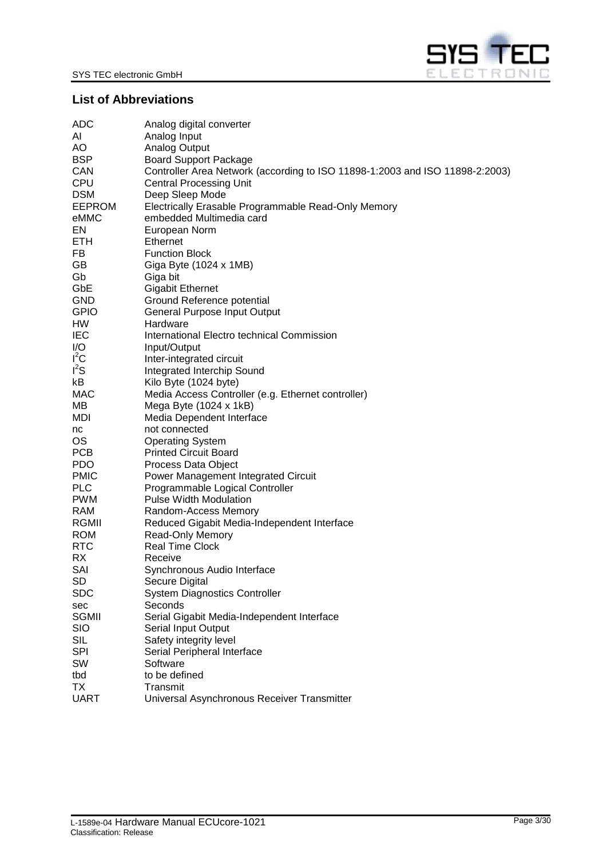

# <span id="page-2-0"></span>**List of Abbreviations**

| ADC           | Analog digital converter                                                     |
|---------------|------------------------------------------------------------------------------|
| AI            | Analog Input                                                                 |
| AO            | <b>Analog Output</b>                                                         |
| <b>BSP</b>    | <b>Board Support Package</b>                                                 |
| CAN           | Controller Area Network (according to ISO 11898-1:2003 and ISO 11898-2:2003) |
| <b>CPU</b>    | <b>Central Processing Unit</b>                                               |
| <b>DSM</b>    | Deep Sleep Mode                                                              |
| <b>EEPROM</b> | Electrically Erasable Programmable Read-Only Memory                          |
| eMMC          | embedded Multimedia card                                                     |
| EN            | European Norm                                                                |
| ETH           | Ethernet                                                                     |
| FB.           | <b>Function Block</b>                                                        |
| GB            | Giga Byte (1024 x 1MB)                                                       |
| Gb            | Giga bit                                                                     |
| GbE           | <b>Gigabit Ethernet</b>                                                      |
| <b>GND</b>    | Ground Reference potential                                                   |
| <b>GPIO</b>   | General Purpose Input Output                                                 |
| HW            | Hardware                                                                     |
| <b>IEC</b>    | International Electro technical Commission                                   |
| I/O<br>$I^2C$ | Input/Output                                                                 |
| $I^2S$        | Inter-integrated circuit                                                     |
| kB.           | Integrated Interchip Sound<br>Kilo Byte (1024 byte)                          |
| MAC           | Media Access Controller (e.g. Ethernet controller)                           |
| MВ            | Mega Byte $(1024 \times 1kB)$                                                |
| MDI.          | Media Dependent Interface                                                    |
| nc            | not connected                                                                |
| <b>OS</b>     | <b>Operating System</b>                                                      |
| <b>PCB</b>    | <b>Printed Circuit Board</b>                                                 |
| <b>PDO</b>    | Process Data Object                                                          |
| <b>PMIC</b>   | Power Management Integrated Circuit                                          |
| <b>PLC</b>    | Programmable Logical Controller                                              |
| <b>PWM</b>    | <b>Pulse Width Modulation</b>                                                |
| <b>RAM</b>    | Random-Access Memory                                                         |
| RGMII         | Reduced Gigabit Media-Independent Interface                                  |
| <b>ROM</b>    | Read-Only Memory                                                             |
| <b>RTC</b>    | <b>Real Time Clock</b>                                                       |
| RX            | Receive                                                                      |
| SAI           | Synchronous Audio Interface                                                  |
| SD            | Secure Digital                                                               |
| <b>SDC</b>    | <b>System Diagnostics Controller</b>                                         |
| sec           | Seconds                                                                      |
| <b>SGMII</b>  | Serial Gigabit Media-Independent Interface                                   |
| <b>SIO</b>    | Serial Input Output                                                          |
| <b>SIL</b>    | Safety integrity level                                                       |
| <b>SPI</b>    | Serial Peripheral Interface                                                  |
| SW            | Software                                                                     |
| tbd           | to be defined                                                                |
| ТX            | Transmit                                                                     |
| <b>UART</b>   | Universal Asynchronous Receiver Transmitter                                  |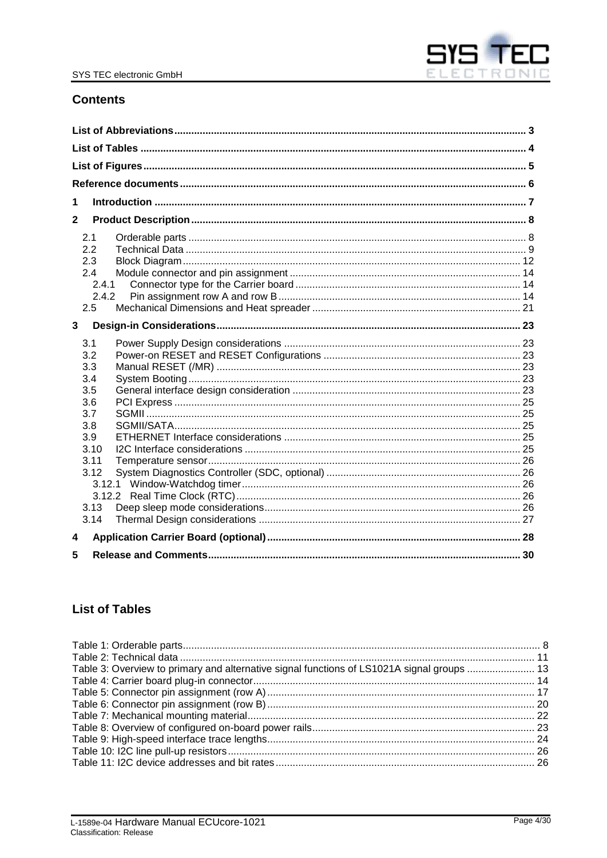

## **Contents**

| 1            |  |
|--------------|--|
| $\mathbf{2}$ |  |
| 2.1          |  |
| 2.2          |  |
| 2.3          |  |
| 2.4          |  |
| 2.4.1        |  |
| 2.4.2        |  |
| 2.5          |  |
| 3            |  |
| 3.1          |  |
| 3.2          |  |
| 3.3          |  |
| 3.4          |  |
| 3.5          |  |
| 3.6          |  |
| 3.7<br>3.8   |  |
| 3.9          |  |
| 3.10         |  |
| 3.11         |  |
| 3.12         |  |
| 3.12.1       |  |
|              |  |
| 3.13         |  |
| 3.14         |  |
| 4            |  |
| 5            |  |

# <span id="page-3-0"></span>**List of Tables**

| Table 3: Overview to primary and alternative signal functions of LS1021A signal groups  13 |  |
|--------------------------------------------------------------------------------------------|--|
|                                                                                            |  |
|                                                                                            |  |
|                                                                                            |  |
|                                                                                            |  |
|                                                                                            |  |
|                                                                                            |  |
|                                                                                            |  |
|                                                                                            |  |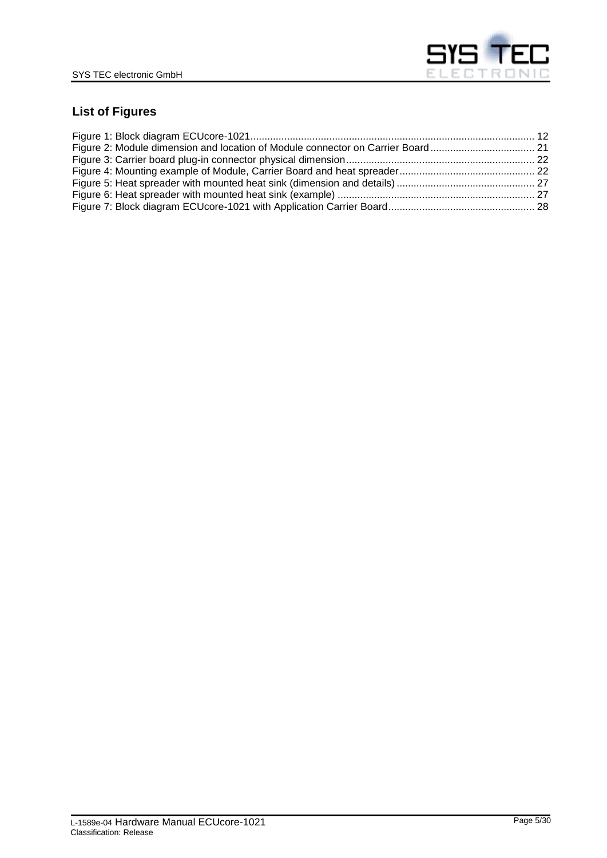

# <span id="page-4-0"></span>**List of Figures**

| Figure 2: Module dimension and location of Module connector on Carrier Board 21 |  |
|---------------------------------------------------------------------------------|--|
|                                                                                 |  |
|                                                                                 |  |
|                                                                                 |  |
|                                                                                 |  |
|                                                                                 |  |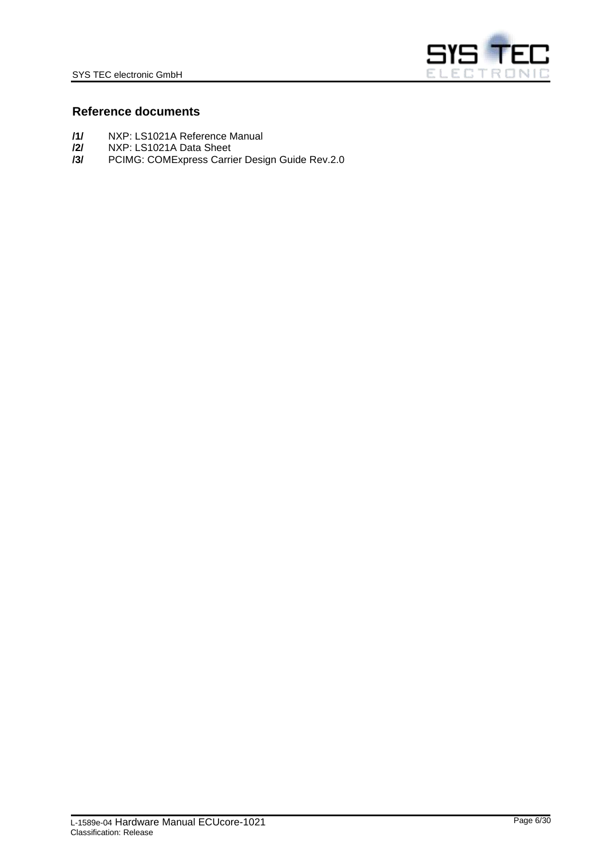

### <span id="page-5-0"></span>**Reference documents**

- **/1/** NXP: LS1021A Reference Manual
- **/2/** NXP: LS1021A Data Sheet
- <span id="page-5-1"></span>**/3/** PCIMG: COMExpress Carrier Design Guide Rev.2.0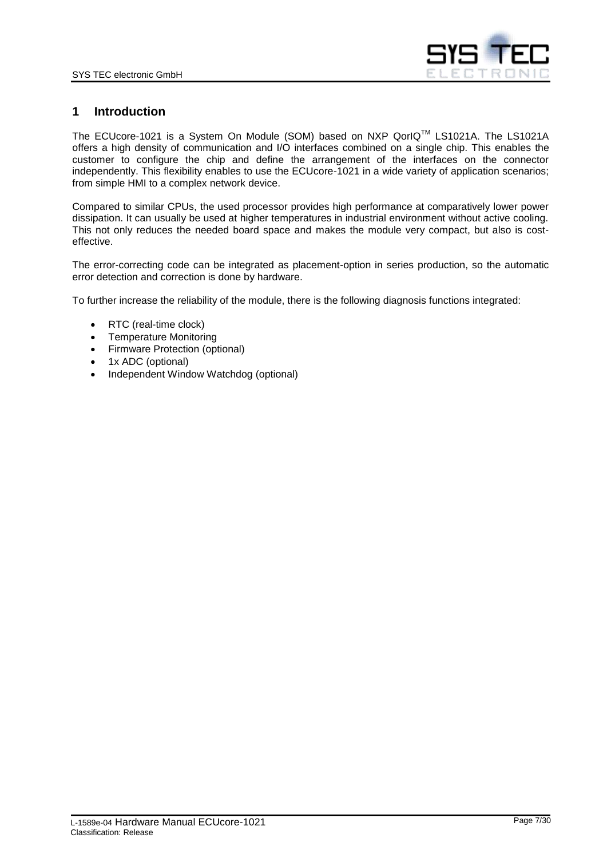

### <span id="page-6-0"></span>**1 Introduction**

The ECUcore-1021 is a System On Module (SOM) based on NXP QorIQTM LS1021A. The LS1021A offers a high density of communication and I/O interfaces combined on a single chip. This enables the customer to configure the chip and define the arrangement of the interfaces on the connector independently. This flexibility enables to use the ECUcore-1021 in a wide variety of application scenarios; from simple HMI to a complex network device.

Compared to similar CPUs, the used processor provides high performance at comparatively lower power dissipation. It can usually be used at higher temperatures in industrial environment without active cooling. This not only reduces the needed board space and makes the module very compact, but also is costeffective.

The error-correcting code can be integrated as placement-option in series production, so the automatic error detection and correction is done by hardware.

To further increase the reliability of the module, there is the following diagnosis functions integrated:

- RTC (real-time clock)
- Temperature Monitoring
- Firmware Protection (optional)
- 1x ADC (optional)
- Independent Window Watchdog (optional)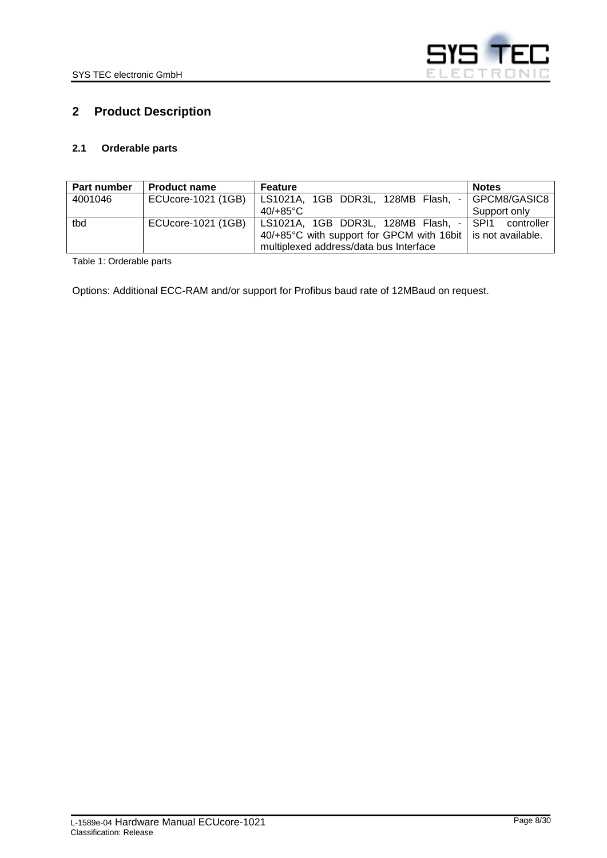

# <span id="page-7-0"></span>**2 Product Description**

### <span id="page-7-1"></span>**2.1 Orderable parts**

| Part number | <b>Product name</b> | Feature                                                       | <b>Notes</b> |
|-------------|---------------------|---------------------------------------------------------------|--------------|
| 4001046     | ECUcore-1021 (1GB)  | LS1021A, 1GB DDR3L, 128MB Flash, - GPCM8/GASIC8               |              |
|             |                     | $40/+85^{\circ}$ C                                            | Support only |
| tbd         | ECUcore-1021 (1GB)  | LS1021A, 1GB DDR3L, 128MB Flash, - SPI1 controller            |              |
|             |                     | 40/+85°C with support for GPCM with 16bit   is not available. |              |
|             |                     | multiplexed address/data bus Interface                        |              |

<span id="page-7-2"></span>Table 1: Orderable parts

Options: Additional ECC-RAM and/or support for Profibus baud rate of 12MBaud on request.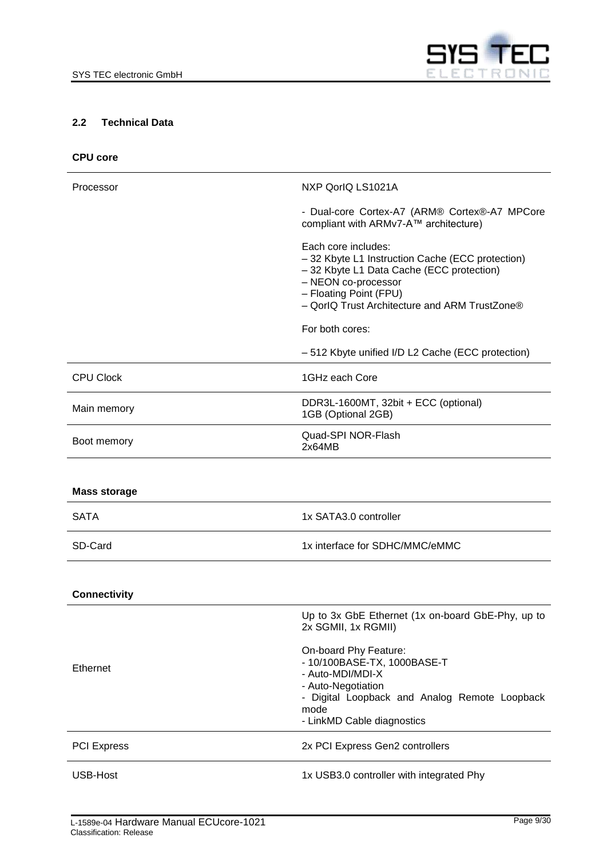

### <span id="page-8-0"></span>**2.2 Technical Data**

| <b>CPU core</b> |  |
|-----------------|--|
|                 |  |

| Processor           | NXP QorlQ LS1021A                                                                                                                                                                                                      |
|---------------------|------------------------------------------------------------------------------------------------------------------------------------------------------------------------------------------------------------------------|
|                     | - Dual-core Cortex-A7 (ARM® Cortex®-A7 MPCore<br>compliant with ARMv7-A™ architecture)                                                                                                                                 |
|                     | Each core includes:<br>- 32 Kbyte L1 Instruction Cache (ECC protection)<br>- 32 Kbyte L1 Data Cache (ECC protection)<br>- NEON co-processor<br>- Floating Point (FPU)<br>- QorlQ Trust Architecture and ARM TrustZone® |
|                     | For both cores:                                                                                                                                                                                                        |
|                     | -512 Kbyte unified I/D L2 Cache (ECC protection)                                                                                                                                                                       |
| <b>CPU Clock</b>    | 1GHz each Core                                                                                                                                                                                                         |
| Main memory         | DDR3L-1600MT, 32bit + ECC (optional)<br>1GB (Optional 2GB)                                                                                                                                                             |
| Boot memory         | Quad-SPI NOR-Flash<br>2x64MB                                                                                                                                                                                           |
|                     |                                                                                                                                                                                                                        |
| <b>Mass storage</b> |                                                                                                                                                                                                                        |
| <b>SATA</b>         | 1x SATA3.0 controller                                                                                                                                                                                                  |
| SD-Card             | 1x interface for SDHC/MMC/eMMC                                                                                                                                                                                         |
|                     |                                                                                                                                                                                                                        |
| <b>Connectivity</b> |                                                                                                                                                                                                                        |
|                     | Up to 3x GbE Ethernet (1x on-board GbE-Phy, up to<br>2x SGMII, 1x RGMII)                                                                                                                                               |
| Ethernet            | On-board Phy Feature:<br>- 10/100BASE-TX, 1000BASE-T<br>- Auto-MDI/MDI-X<br>- Auto-Negotiation<br>- Digital Loopback and Analog Remote Loopback<br>mode<br>- LinkMD Cable diagnostics                                  |
| <b>PCI Express</b>  | 2x PCI Express Gen2 controllers                                                                                                                                                                                        |
| USB-Host            | 1x USB3.0 controller with integrated Phy                                                                                                                                                                               |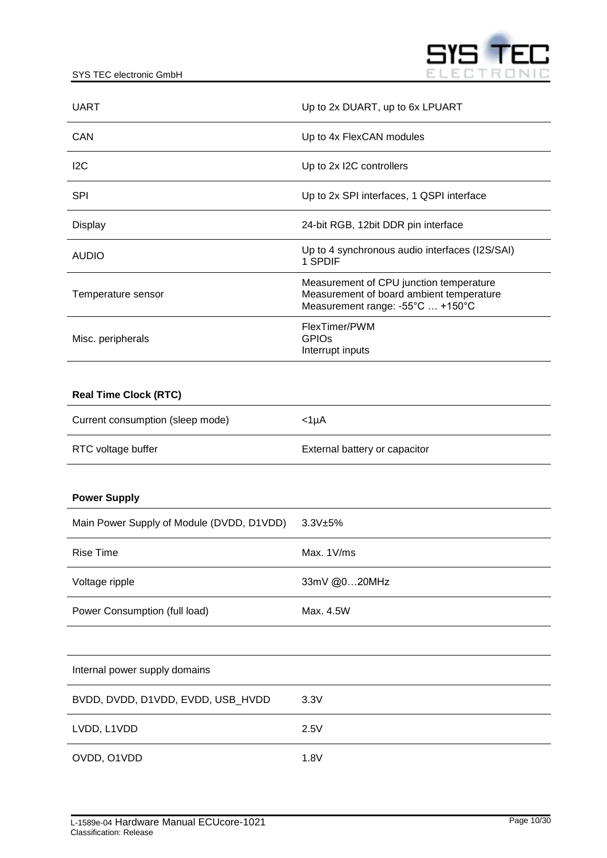

| <b>UART</b>                               | Up to 2x DUART, up to 6x LPUART                                                                                         |  |
|-------------------------------------------|-------------------------------------------------------------------------------------------------------------------------|--|
| <b>CAN</b>                                | Up to 4x FlexCAN modules                                                                                                |  |
| 12C                                       | Up to 2x I2C controllers                                                                                                |  |
| <b>SPI</b>                                | Up to 2x SPI interfaces, 1 QSPI interface                                                                               |  |
| Display                                   | 24-bit RGB, 12bit DDR pin interface                                                                                     |  |
| <b>AUDIO</b>                              | Up to 4 synchronous audio interfaces (I2S/SAI)<br>1 SPDIF                                                               |  |
| Temperature sensor                        | Measurement of CPU junction temperature<br>Measurement of board ambient temperature<br>Measurement range: -55°C  +150°C |  |
| Misc. peripherals                         | FlexTimer/PWM<br><b>GPIO<sub>s</sub></b><br>Interrupt inputs                                                            |  |
|                                           |                                                                                                                         |  |
| <b>Real Time Clock (RTC)</b>              |                                                                                                                         |  |
| Current consumption (sleep mode)          | $<$ 1µA                                                                                                                 |  |
| RTC voltage buffer                        | External battery or capacitor                                                                                           |  |
|                                           |                                                                                                                         |  |
| <b>Power Supply</b>                       |                                                                                                                         |  |
| Main Power Supply of Module (DVDD, D1VDD) | 3.3V±5%                                                                                                                 |  |
| <b>Rise Time</b>                          | Max. 1V/ms                                                                                                              |  |
| Voltage ripple                            | 33mV @020MHz                                                                                                            |  |
| Power Consumption (full load)             | Max. 4.5W                                                                                                               |  |
|                                           |                                                                                                                         |  |
| Internal power supply domains             |                                                                                                                         |  |
| BVDD, DVDD, D1VDD, EVDD, USB_HVDD         | 3.3V                                                                                                                    |  |
| LVDD, L1VDD                               | 2.5V                                                                                                                    |  |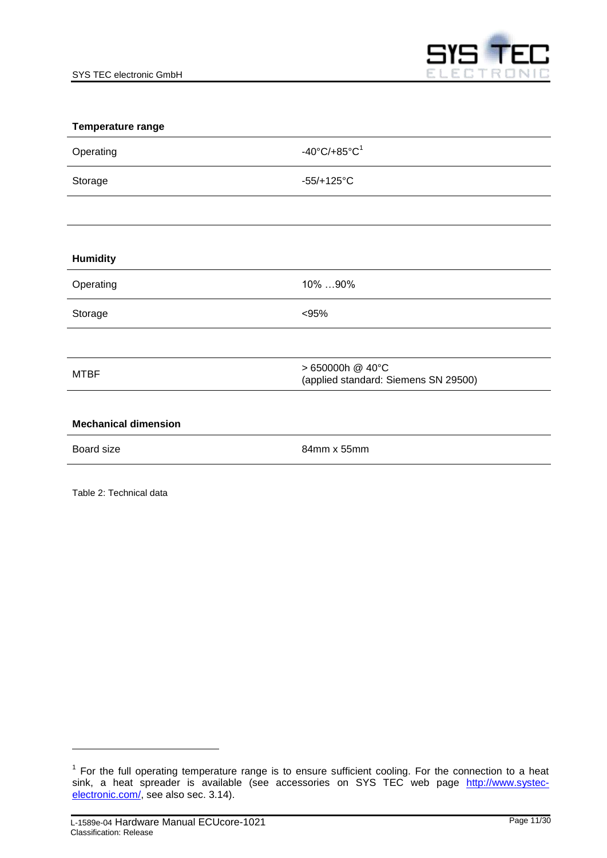

| Temperature range           |                                                          |
|-----------------------------|----------------------------------------------------------|
| Operating                   | -40°C/+85°C <sup>1</sup>                                 |
| Storage                     | $-55/+125°C$                                             |
|                             |                                                          |
|                             |                                                          |
| <b>Humidity</b>             |                                                          |
| Operating                   | 10% 90%                                                  |
| Storage                     | < 95%                                                    |
|                             |                                                          |
| <b>MTBF</b>                 | > 650000h @ 40°C<br>(applied standard: Siemens SN 29500) |
|                             |                                                          |
| <b>Mechanical dimension</b> |                                                          |
| Board size                  | 84mm x 55mm                                              |
|                             |                                                          |

<span id="page-10-0"></span>Table 2: Technical data

l

 $1$  For the full operating temperature range is to ensure sufficient cooling. For the connection to a heat sink, a heat spreader is available (see accessories on SYS TEC web page [http://www.systec](http://www.systec-electronic.com/)[electronic.com/,](http://www.systec-electronic.com/) see also sec. [3.14\)](#page-26-0).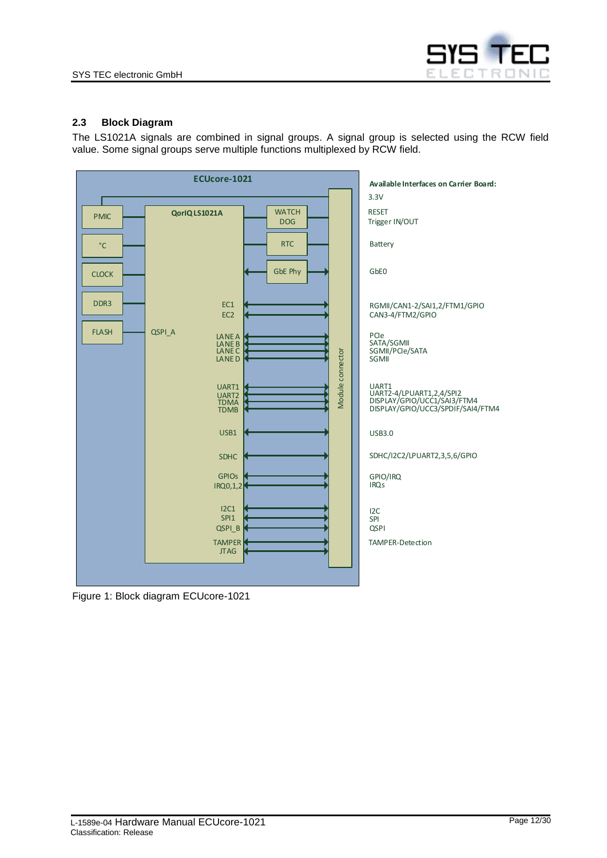

### <span id="page-11-0"></span>**2.3 Block Diagram**

The LS1021A signals are combined in signal groups. A signal group is selected using the RCW field value. Some signal groups serve multiple functions multiplexed by RCW field.



<span id="page-11-1"></span>Figure 1: Block diagram ECUcore-1021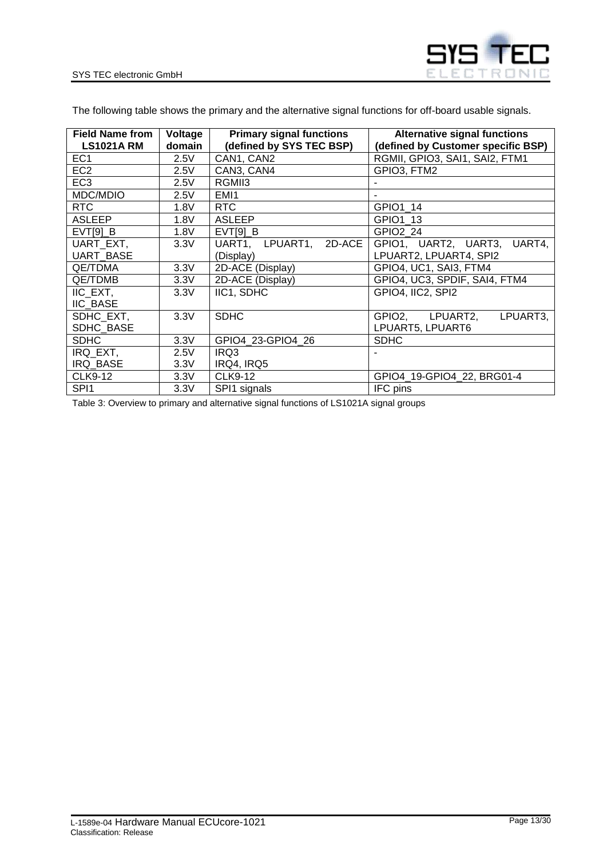

The following table shows the primary and the alternative signal functions for off-board usable signals.

| <b>Field Name from</b> | Voltage | <b>Primary signal functions</b> | <b>Alternative signal functions</b> |
|------------------------|---------|---------------------------------|-------------------------------------|
| <b>LS1021A RM</b>      | domain  | (defined by SYS TEC BSP)        | (defined by Customer specific BSP)  |
| EC <sub>1</sub>        | 2.5V    | CAN1, CAN2                      | RGMII, GPIO3, SAI1, SAI2, FTM1      |
| EC <sub>2</sub>        | 2.5V    | CAN3, CAN4                      | GPIO3, FTM2                         |
| EC <sub>3</sub>        | 2.5V    | RGMII3                          |                                     |
| MDC/MDIO               | 2.5V    | EMI1                            |                                     |
| RTC                    | 1.8V    | <b>RTC</b>                      | GPIO1_14                            |
| <b>ASLEEP</b>          | 1.8V    | <b>ASLEEP</b>                   | GPIO1 13                            |
| EVT[9] B               | 1.8V    | EVT[9] B                        | <b>GPIO2 24</b>                     |
| UART EXT,              | 3.3V    | 2D-ACE<br>UART1, LPUART1,       | GPIO1, UART2, UART3,<br>UART4,      |
| <b>UART BASE</b>       |         | (Display)                       | LPUART2, LPUART4, SPI2              |
| <b>QE/TDMA</b>         | 3.3V    | 2D-ACE (Display)                | GPIO4, UC1, SAI3, FTM4              |
| QE/TDMB                | 3.3V    | 2D-ACE (Display)                | GPIO4, UC3, SPDIF, SAI4, FTM4       |
| IIC EXT,               | 3.3V    | IIC1, SDHC                      | GPIO4, IIC2, SPI2                   |
| <b>IIC BASE</b>        |         |                                 |                                     |
| SDHC EXT,              | 3.3V    | <b>SDHC</b>                     | LPUART2,<br>GPIO2,<br>LPUART3,      |
| SDHC_BASE              |         |                                 | LPUART5, LPUART6                    |
| <b>SDHC</b>            | 3.3V    | GPIO4 23-GPIO4 26               | <b>SDHC</b>                         |
| IRQ_EXT,               | 2.5V    | IRQ3                            |                                     |
| IRQ_BASE               | 3.3V    | IRQ4, IRQ5                      |                                     |
| <b>CLK9-12</b>         | 3.3V    | <b>CLK9-12</b>                  | GPIO4 19-GPIO4_22, BRG01-4          |
| SPI <sub>1</sub>       | 3.3V    | SPI1 signals                    | IFC pins                            |

<span id="page-12-0"></span>Table 3: Overview to primary and alternative signal functions of LS1021A signal groups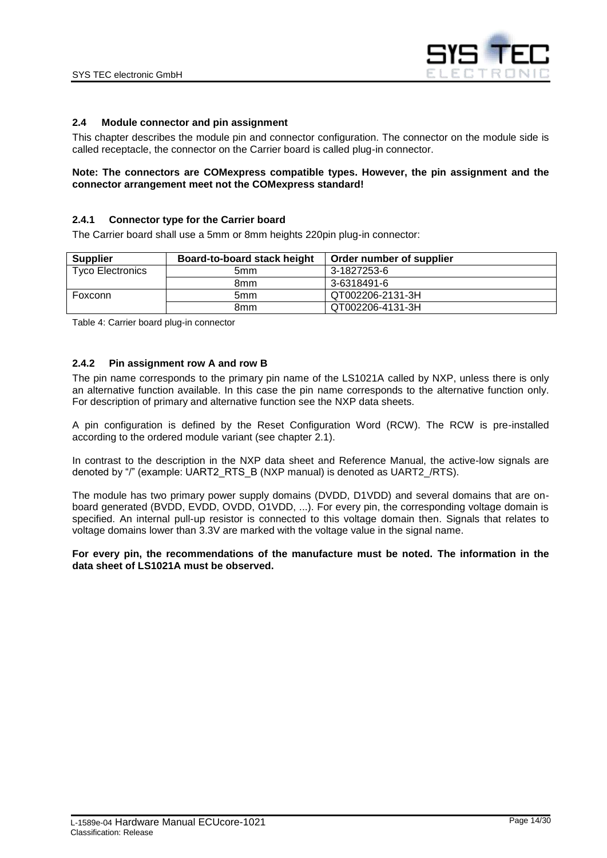

#### <span id="page-13-1"></span>**2.4 Module connector and pin assignment**

This chapter describes the module pin and connector configuration. The connector on the module side is called receptacle, the connector on the Carrier board is called plug-in connector.

#### **Note: The connectors are COMexpress compatible types. However, the pin assignment and the connector arrangement meet not the COMexpress standard!**

#### <span id="page-13-2"></span>**2.4.1 Connector type for the Carrier board**

The Carrier board shall use a 5mm or 8mm heights 220pin plug-in connector:

| <b>Supplier</b>         | Board-to-board stack height | Order number of supplier |
|-------------------------|-----------------------------|--------------------------|
| <b>Tyco Electronics</b> | 5 <sub>mm</sub>             | 3-1827253-6              |
|                         | 8mm                         | 3-6318491-6              |
| Foxconn                 | 5 <sub>mm</sub>             | QT002206-2131-3H         |
|                         | 8mm                         | QT002206-4131-3H         |

<span id="page-13-3"></span>Table 4: Carrier board plug-in connector

#### <span id="page-13-0"></span>**2.4.2 Pin assignment row A and row B**

The pin name corresponds to the primary pin name of the LS1021A called by NXP, unless there is only an alternative function available. In this case the pin name corresponds to the alternative function only. For description of primary and alternative function see the NXP data sheets.

A pin configuration is defined by the Reset Configuration Word (RCW). The RCW is pre-installed according to the ordered module variant (see chapter [2.1\)](#page-7-1).

In contrast to the description in the NXP data sheet and Reference Manual, the active-low signals are denoted by "/" (example: UART2\_RTS\_B (NXP manual) is denoted as UART2\_/RTS).

The module has two primary power supply domains (DVDD, D1VDD) and several domains that are onboard generated (BVDD, EVDD, OVDD, O1VDD, ...). For every pin, the corresponding voltage domain is specified. An internal pull-up resistor is connected to this voltage domain then. Signals that relates to voltage domains lower than 3.3V are marked with the voltage value in the signal name.

#### **For every pin, the recommendations of the manufacture must be noted. The information in the data sheet of LS1021A must be observed.**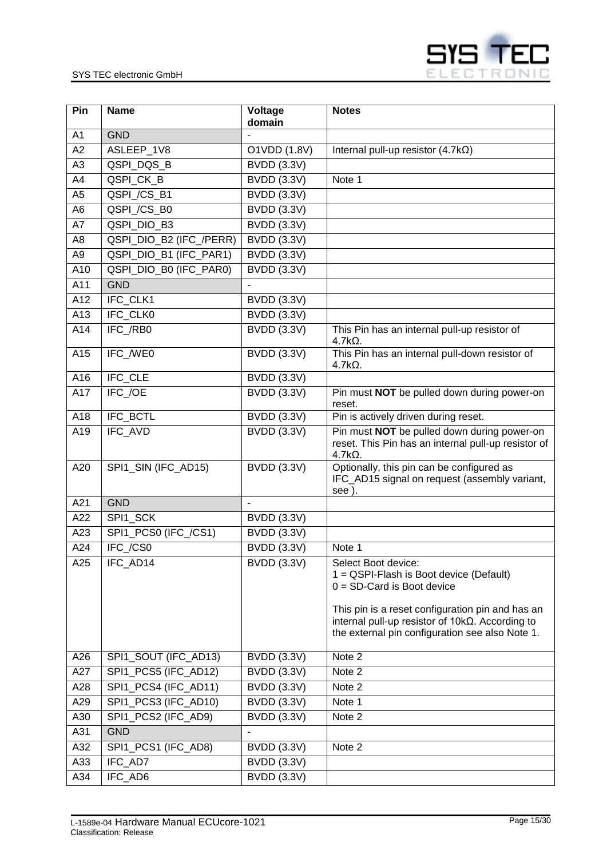

| Pin             | <b>Name</b>             | <b>Voltage</b><br>domain | <b>Notes</b>                                                                                                                                                                                                  |
|-----------------|-------------------------|--------------------------|---------------------------------------------------------------------------------------------------------------------------------------------------------------------------------------------------------------|
| A <sub>1</sub>  | <b>GND</b>              |                          |                                                                                                                                                                                                               |
| A2              | ASLEEP_1V8              | O1VDD (1.8V)             | Internal pull-up resistor $(4.7k\Omega)$                                                                                                                                                                      |
| A3              | QSPI_DQS_B              | <b>BVDD</b> (3.3V)       |                                                                                                                                                                                                               |
| A4              | QSPI_CK_B               | <b>BVDD (3.3V)</b>       | Note 1                                                                                                                                                                                                        |
| A <sub>5</sub>  | QSPI_/CS_B1             | <b>BVDD (3.3V)</b>       |                                                                                                                                                                                                               |
| A <sub>6</sub>  | QSPI_/CS_B0             | <b>BVDD (3.3V)</b>       |                                                                                                                                                                                                               |
| A7              | QSPI_DIO_B3             | <b>BVDD (3.3V)</b>       |                                                                                                                                                                                                               |
| A8              | QSPI_DIO_B2 (IFC_/PERR) | <b>BVDD (3.3V)</b>       |                                                                                                                                                                                                               |
| $\overline{A9}$ | QSPI_DIO_B1 (IFC_PAR1)  | <b>BVDD (3.3V)</b>       |                                                                                                                                                                                                               |
| A10             | QSPI_DIO_B0 (IFC_PAR0)  | <b>BVDD (3.3V)</b>       |                                                                                                                                                                                                               |
| A11             | <b>GND</b>              |                          |                                                                                                                                                                                                               |
| A12             | IFC_CLK1                | <b>BVDD (3.3V)</b>       |                                                                                                                                                                                                               |
| A13             | <b>IFC CLK0</b>         | <b>BVDD (3.3V)</b>       |                                                                                                                                                                                                               |
| A14             | IFC_/RB0                | <b>BVDD (3.3V)</b>       | This Pin has an internal pull-up resistor of<br>$4.7kΩ$ .                                                                                                                                                     |
| A15             | IFC_/WE0                | <b>BVDD (3.3V)</b>       | This Pin has an internal pull-down resistor of<br>$4.7k\Omega$ .                                                                                                                                              |
| A16             | <b>IFC CLE</b>          | <b>BVDD (3.3V)</b>       |                                                                                                                                                                                                               |
| A17             | IFC_/OE                 | <b>BVDD (3.3V)</b>       | Pin must NOT be pulled down during power-on<br>reset.                                                                                                                                                         |
| A18             | IFC_BCTL                | <b>BVDD (3.3V)</b>       | Pin is actively driven during reset.                                                                                                                                                                          |
| A19             | IFC_AVD                 | <b>BVDD (3.3V)</b>       | Pin must NOT be pulled down during power-on<br>reset. This Pin has an internal pull-up resistor of<br>$4.7k\Omega$ .                                                                                          |
| A20             | SPI1_SIN (IFC_AD15)     | <b>BVDD (3.3V)</b>       | Optionally, this pin can be configured as<br>IFC_AD15 signal on request (assembly variant,<br>see).                                                                                                           |
| A21             | <b>GND</b>              |                          |                                                                                                                                                                                                               |
| A22             | SPI1 SCK                | <b>BVDD (3.3V)</b>       |                                                                                                                                                                                                               |
| A23             | SPI1_PCS0 (IFC_/CS1)    | <b>BVDD</b> (3.3V)       |                                                                                                                                                                                                               |
| A24             | IFC_/CS0                | <b>BVDD (3.3V)</b>       | Note 1                                                                                                                                                                                                        |
| A25             | IFC_AD14                | <b>BVDD (3.3V)</b>       | Select Boot device:<br>1 = QSPI-Flash is Boot device (Default)<br>$0 = SD-Card$ is Boot device<br>This pin is a reset configuration pin and has an<br>internal pull-up resistor of $10k\Omega$ . According to |
|                 |                         |                          | the external pin configuration see also Note 1.                                                                                                                                                               |
| A26             | SPI1_SOUT (IFC_AD13)    | <b>BVDD (3.3V)</b>       | Note 2                                                                                                                                                                                                        |
| A27             | SPI1_PCS5 (IFC_AD12)    | <b>BVDD (3.3V)</b>       | Note 2                                                                                                                                                                                                        |
| A28             | SPI1 PCS4 (IFC AD11)    | <b>BVDD (3.3V)</b>       | Note 2                                                                                                                                                                                                        |
| A29             | SPI1_PCS3 (IFC_AD10)    | <b>BVDD (3.3V)</b>       | Note 1                                                                                                                                                                                                        |
| A30             | SPI1_PCS2 (IFC_AD9)     | <b>BVDD (3.3V)</b>       | Note 2                                                                                                                                                                                                        |
| A31             | <b>GND</b>              |                          |                                                                                                                                                                                                               |
| A32             | SPI1_PCS1 (IFC_AD8)     | <b>BVDD (3.3V)</b>       | Note 2                                                                                                                                                                                                        |
| A33             | IFC_AD7                 | <b>BVDD (3.3V)</b>       |                                                                                                                                                                                                               |
| A34             | IFC_AD6                 | <b>BVDD (3.3V)</b>       |                                                                                                                                                                                                               |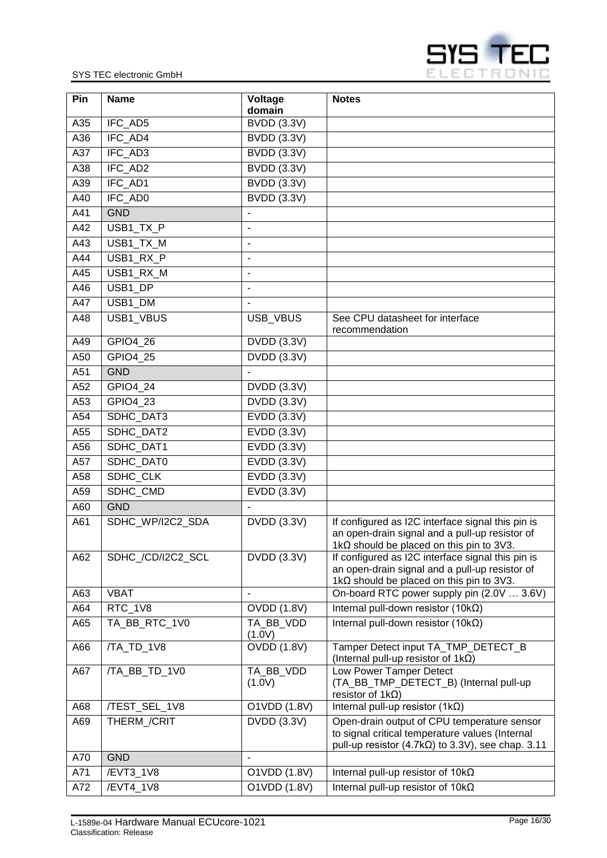

| Pin | <b>Name</b>       | Voltage<br>domain        | <b>Notes</b>                                                                                                                                               |
|-----|-------------------|--------------------------|------------------------------------------------------------------------------------------------------------------------------------------------------------|
| A35 | IFC AD5           | <b>BVDD (3.3V)</b>       |                                                                                                                                                            |
| A36 | IFC_AD4           | <b>BVDD (3.3V)</b>       |                                                                                                                                                            |
| A37 | IFC AD3           | <b>BVDD</b> (3.3V)       |                                                                                                                                                            |
| A38 | IFC_AD2           | <b>BVDD (3.3V)</b>       |                                                                                                                                                            |
| A39 | IFC_AD1           | <b>BVDD (3.3V)</b>       |                                                                                                                                                            |
| A40 | IFC_AD0           | <b>BVDD (3.3V)</b>       |                                                                                                                                                            |
| A41 | <b>GND</b>        | $\overline{\phantom{a}}$ |                                                                                                                                                            |
| A42 | USB1_TX_P         | $\overline{a}$           |                                                                                                                                                            |
| A43 | USB1_TX_M         | $\overline{\phantom{a}}$ |                                                                                                                                                            |
| A44 | USB1_RX_P         | $\blacksquare$           |                                                                                                                                                            |
| A45 | USB1_RX_M         | $\overline{\phantom{a}}$ |                                                                                                                                                            |
| A46 | USB1 DP           | $\overline{\phantom{a}}$ |                                                                                                                                                            |
| A47 | USB1_DM           |                          |                                                                                                                                                            |
| A48 | USB1_VBUS         | USB_VBUS                 | See CPU datasheet for interface                                                                                                                            |
| A49 | GPIO4_26          | <b>DVDD</b> (3.3V)       | recommendation                                                                                                                                             |
| A50 | GPIO4_25          | DVDD (3.3V)              |                                                                                                                                                            |
| A51 | <b>GND</b>        |                          |                                                                                                                                                            |
| A52 | GPIO4_24          | <b>DVDD</b> (3.3V)       |                                                                                                                                                            |
| A53 | GPIO4_23          | <b>DVDD</b> (3.3V)       |                                                                                                                                                            |
| A54 | SDHC_DAT3         | EVDD (3.3V)              |                                                                                                                                                            |
| A55 | SDHC_DAT2         | EVDD (3.3V)              |                                                                                                                                                            |
| A56 | SDHC_DAT1         | EVDD (3.3V)              |                                                                                                                                                            |
| A57 | SDHC_DAT0         | EVDD (3.3V)              |                                                                                                                                                            |
| A58 | SDHC_CLK          | EVDD (3.3V)              |                                                                                                                                                            |
| A59 | SDHC_CMD          | <b>EVDD (3.3V)</b>       |                                                                                                                                                            |
| A60 | <b>GND</b>        | $\blacksquare$           |                                                                                                                                                            |
| A61 | SDHC_WP/I2C2_SDA  | DVDD (3.3V)              | If configured as I2C interface signal this pin is<br>an open-drain signal and a pull-up resistor of                                                        |
|     |                   |                          | 1kΩ should be placed on this pin to 3V3.                                                                                                                   |
| A62 | SDHC /CD/I2C2 SCL | <b>DVDD</b> (3.3V)       | If configured as I2C interface signal this pin is                                                                                                          |
|     |                   |                          | an open-drain signal and a pull-up resistor of<br>1k $\Omega$ should be placed on this pin to 3V3.                                                         |
| A63 | <b>VBAT</b>       | $\blacksquare$           | On-board RTC power supply pin (2.0V  3.6V)                                                                                                                 |
| A64 | RTC_1V8           | <b>OVDD (1.8V)</b>       | Internal pull-down resistor $(10k\Omega)$                                                                                                                  |
| A65 | TA_BB_RTC_1V0     | TA_BB_VDD<br>(1.0V)      | Internal pull-down resistor (10 $k\Omega$ )                                                                                                                |
| A66 | /TA TD 1V8        | <b>OVDD (1.8V)</b>       | Tamper Detect input TA_TMP_DETECT_B<br>(Internal pull-up resistor of $1k\Omega$ )                                                                          |
| A67 | /TA_BB_TD_1V0     | TA_BB_VDD                | Low Power Tamper Detect                                                                                                                                    |
|     |                   | (1.0V)                   | (TA_BB_TMP_DETECT_B) (Internal pull-up<br>resistor of $1k\Omega$ )                                                                                         |
| A68 | /TEST_SEL_1V8     | O1VDD (1.8V)             | Internal pull-up resistor $(1k\Omega)$                                                                                                                     |
| A69 | THERM_/CRIT       | <b>DVDD (3.3V)</b>       | Open-drain output of CPU temperature sensor<br>to signal critical temperature values (Internal<br>pull-up resistor $(4.7k\Omega)$ to 3.3V), see chap. 3.11 |
| A70 | <b>GND</b>        | $\overline{\phantom{a}}$ |                                                                                                                                                            |
| A71 | /EVT3_1V8         | O1VDD (1.8V)             | Internal pull-up resistor of $10k\Omega$                                                                                                                   |
| A72 | /EVT4_1V8         | O1VDD (1.8V)             | Internal pull-up resistor of $10k\Omega$                                                                                                                   |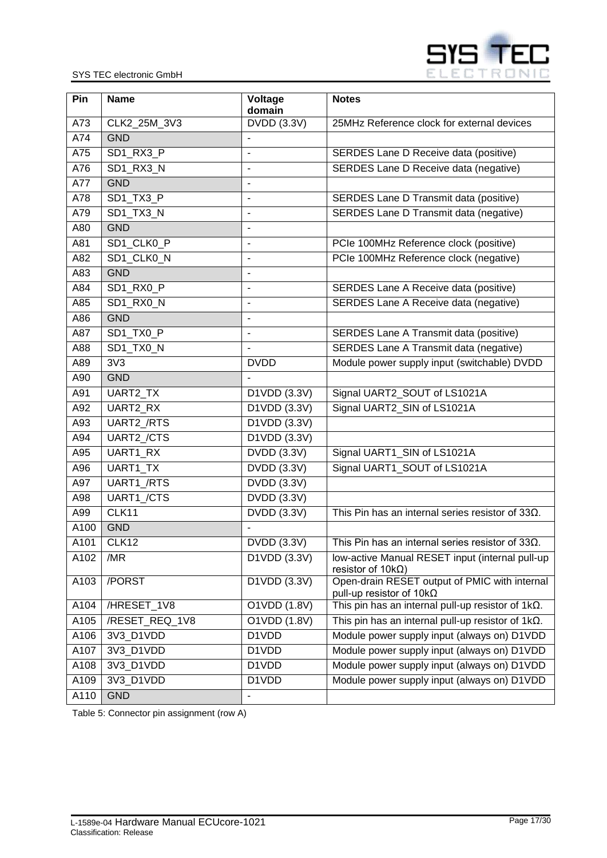

| Pin  | <b>Name</b>    | Voltage<br>domain        | <b>Notes</b>                                                                     |
|------|----------------|--------------------------|----------------------------------------------------------------------------------|
| A73  | CLK2_25M_3V3   | DVDD (3.3V)              | 25MHz Reference clock for external devices                                       |
| A74  | <b>GND</b>     |                          |                                                                                  |
| A75  | SD1_RX3_P      | $\blacksquare$           | <b>SERDES Lane D Receive data (positive)</b>                                     |
| A76  | SD1_RX3_N      | ÷,                       | SERDES Lane D Receive data (negative)                                            |
| A77  | <b>GND</b>     | $\blacksquare$           |                                                                                  |
| A78  | SD1 TX3 P      | $\blacksquare$           | SERDES Lane D Transmit data (positive)                                           |
| A79  | SD1_TX3_N      | $\blacksquare$           | <b>SERDES Lane D Transmit data (negative)</b>                                    |
| A80  | <b>GND</b>     | $\blacksquare$           |                                                                                  |
| A81  | SD1_CLK0_P     | $\blacksquare$           | PCIe 100MHz Reference clock (positive)                                           |
| A82  | SD1_CLK0_N     | $\overline{a}$           | PCIe 100MHz Reference clock (negative)                                           |
| A83  | <b>GND</b>     | $\blacksquare$           |                                                                                  |
| A84  | SD1_RX0_P      | $\blacksquare$           | SERDES Lane A Receive data (positive)                                            |
| A85  | SD1_RX0_N      | $\overline{\phantom{a}}$ | SERDES Lane A Receive data (negative)                                            |
| A86  | <b>GND</b>     | $\blacksquare$           |                                                                                  |
| A87  | SD1_TX0_P      | $\blacksquare$           | <b>SERDES Lane A Transmit data (positive)</b>                                    |
| A88  | SD1_TX0_N      |                          | <b>SERDES Lane A Transmit data (negative)</b>                                    |
| A89  | 3V3            | <b>DVDD</b>              | Module power supply input (switchable) DVDD                                      |
| A90  | <b>GND</b>     |                          |                                                                                  |
| A91  | UART2_TX       | D1VDD (3.3V)             | Signal UART2_SOUT of LS1021A                                                     |
| A92  | UART2_RX       | D1VDD (3.3V)             | Signal UART2_SIN of LS1021A                                                      |
| A93  | UART2_/RTS     | D1VDD (3.3V)             |                                                                                  |
| A94  | UART2_/CTS     | D1VDD (3.3V)             |                                                                                  |
| A95  | UART1_RX       | DVDD (3.3V)              | Signal UART1_SIN of LS1021A                                                      |
| A96  | UART1_TX       | DVDD (3.3V)              | Signal UART1_SOUT of LS1021A                                                     |
| A97  | UART1_/RTS     | <b>DVDD</b> (3.3V)       |                                                                                  |
| A98  | UART1_/CTS     | <b>DVDD (3.3V)</b>       |                                                                                  |
| A99  | CLK11          | <b>DVDD (3.3V)</b>       | This Pin has an internal series resistor of $33\Omega$ .                         |
| A100 | <b>GND</b>     |                          |                                                                                  |
| A101 | CLK12          | DVDD (3.3V)              | This Pin has an internal series resistor of $33\Omega$ .                         |
| A102 | /MR            | D1VDD (3.3V)             | low-active Manual RESET input (internal pull-up<br>resistor of $10k\Omega$ )     |
| A103 | /PORST         | D1VDD (3.3V)             | Open-drain RESET output of PMIC with internal<br>pull-up resistor of $10k\Omega$ |
| A104 | /HRESET_1V8    | O1VDD (1.8V)             | This pin has an internal pull-up resistor of $1k\Omega$ .                        |
| A105 | /RESET REQ 1V8 | O1VDD (1.8V)             | This pin has an internal pull-up resistor of $1k\Omega$ .                        |
| A106 | 3V3 D1VDD      | D1VDD                    | Module power supply input (always on) D1VDD                                      |
| A107 | 3V3_D1VDD      | D1VDD                    | Module power supply input (always on) D1VDD                                      |
| A108 | 3V3_D1VDD      | D1VDD                    | Module power supply input (always on) D1VDD                                      |
| A109 | 3V3_D1VDD      | D1VDD                    | Module power supply input (always on) D1VDD                                      |
| A110 | <b>GND</b>     |                          |                                                                                  |

<span id="page-16-0"></span>Table 5: Connector pin assignment (row A)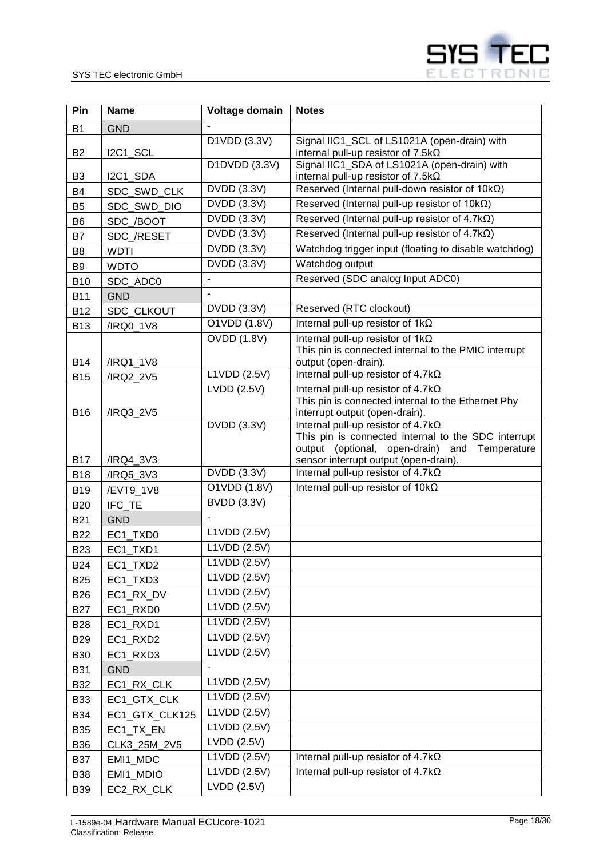

| Pin            | <b>Name</b>    | Voltage domain                  | <b>Notes</b>                                                                                                                                      |
|----------------|----------------|---------------------------------|---------------------------------------------------------------------------------------------------------------------------------------------------|
| <b>B1</b>      | <b>GND</b>     |                                 |                                                                                                                                                   |
| <b>B2</b>      | I2C1_SCL       | D1VDD (3.3V)                    | Signal IIC1_SCL of LS1021A (open-drain) with<br>internal pull-up resistor of $7.5k\Omega$                                                         |
| B <sub>3</sub> | I2C1_SDA       | D1DVDD (3.3V)                   | Signal IIC1_SDA of LS1021A (open-drain) with<br>internal pull-up resistor of $7.5k\Omega$                                                         |
| <b>B4</b>      | SDC_SWD_CLK    | DVDD (3.3V)                     | Reserved (Internal pull-down resistor of $10k\Omega$ )                                                                                            |
| B <sub>5</sub> | SDC_SWD_DIO    | DVDD (3.3V)                     | Reserved (Internal pull-up resistor of $10k\Omega$ )                                                                                              |
| B <sub>6</sub> | SDC_/BOOT      | <b>DVDD</b> (3.3V)              | Reserved (Internal pull-up resistor of $4.7k\Omega$ )                                                                                             |
| B7             | SDC_/RESET     | DVDD (3.3V)                     | Reserved (Internal pull-up resistor of $4.7k\Omega$ )                                                                                             |
| B <sub>8</sub> | <b>WDTI</b>    | <b>DVDD (3.3V)</b>              | Watchdog trigger input (floating to disable watchdog)                                                                                             |
| B <sub>9</sub> | <b>WDTO</b>    | DVDD (3.3V)                     | Watchdog output                                                                                                                                   |
| <b>B10</b>     | SDC_ADC0       |                                 | Reserved (SDC analog Input ADC0)                                                                                                                  |
| <b>B11</b>     | <b>GND</b>     |                                 |                                                                                                                                                   |
| <b>B12</b>     | SDC_CLKOUT     | DVDD (3.3V)                     | Reserved (RTC clockout)                                                                                                                           |
| <b>B13</b>     | /IRQ0_1V8      | O1VDD (1.8V)                    | Internal pull-up resistor of $1k\Omega$                                                                                                           |
| <b>B14</b>     | /IRQ1_1V8      | <b>OVDD (1.8V)</b>              | Internal pull-up resistor of $1k\Omega$<br>This pin is connected internal to the PMIC interrupt<br>output (open-drain).                           |
| <b>B15</b>     | /IRQ2_2V5      | L1VDD (2.5V)                    | Internal pull-up resistor of $4.7k\Omega$                                                                                                         |
| <b>B16</b>     | /IRQ3_2V5      | LVDD (2.5V)                     | Internal pull-up resistor of $4.7k\Omega$<br>This pin is connected internal to the Ethernet Phy<br>interrupt output (open-drain).                 |
|                |                | DVDD (3.3V)                     | Internal pull-up resistor of $4.7k\Omega$<br>This pin is connected internal to the SDC interrupt<br>output (optional, open-drain) and Temperature |
| <b>B17</b>     | /IRQ4_3V3      |                                 | sensor interrupt output (open-drain).                                                                                                             |
| <b>B18</b>     | /IRQ5_3V3      | <b>DVDD</b> (3.3V)              | Internal pull-up resistor of $4.7k\Omega$                                                                                                         |
| <b>B19</b>     | /EVT9_1V8      | O1VDD (1.8V)                    | Internal pull-up resistor of $10k\Omega$                                                                                                          |
| <b>B20</b>     | IFC_TE         | <b>BVDD (3.3V)</b>              |                                                                                                                                                   |
| <b>B21</b>     | <b>GND</b>     |                                 |                                                                                                                                                   |
| <b>B22</b>     | EC1_TXD0       | L1VDD (2.5V)                    |                                                                                                                                                   |
| <b>B23</b>     | EC1_TXD1       | L1VDD (2.5V)                    |                                                                                                                                                   |
| <b>B24</b>     | EC1_TXD2       | L1VDD (2.5V)                    |                                                                                                                                                   |
| <b>B25</b>     | EC1_TXD3       | L1VDD (2.5V)                    |                                                                                                                                                   |
| <b>B26</b>     | EC1_RX_DV      | L1VDD (2.5V)                    |                                                                                                                                                   |
| <b>B27</b>     | EC1_RXD0       | L1VDD (2.5V)                    |                                                                                                                                                   |
| <b>B28</b>     | EC1_RXD1       | L1VDD (2.5V)                    |                                                                                                                                                   |
| <b>B29</b>     | EC1_RXD2       | L1VDD(2.5V)                     |                                                                                                                                                   |
| <b>B30</b>     | EC1 RXD3       | L1VDD (2.5V)                    |                                                                                                                                                   |
| <b>B31</b>     | <b>GND</b>     |                                 |                                                                                                                                                   |
| <b>B32</b>     | EC1_RX_CLK     | L1VDD (2.5V)                    |                                                                                                                                                   |
| <b>B33</b>     | EC1_GTX_CLK    | L1VDD (2.5V)                    |                                                                                                                                                   |
| <b>B34</b>     | EC1_GTX_CLK125 | L1VDD (2.5V)                    |                                                                                                                                                   |
| <b>B35</b>     | EC1_TX_EN      | L1VDD (2.5V)                    |                                                                                                                                                   |
| <b>B36</b>     | CLK3_25M_2V5   | $\overline{\text{LVDD}}$ (2.5V) |                                                                                                                                                   |
| <b>B37</b>     | EMI1_MDC       | L1VDD (2.5V)                    | Internal pull-up resistor of $4.7k\Omega$                                                                                                         |
| <b>B38</b>     | EMI1_MDIO      | L1VDD (2.5V)                    | Internal pull-up resistor of $4.7k\Omega$                                                                                                         |
| <b>B39</b>     | EC2_RX_CLK     | LVDD(2.5V)                      |                                                                                                                                                   |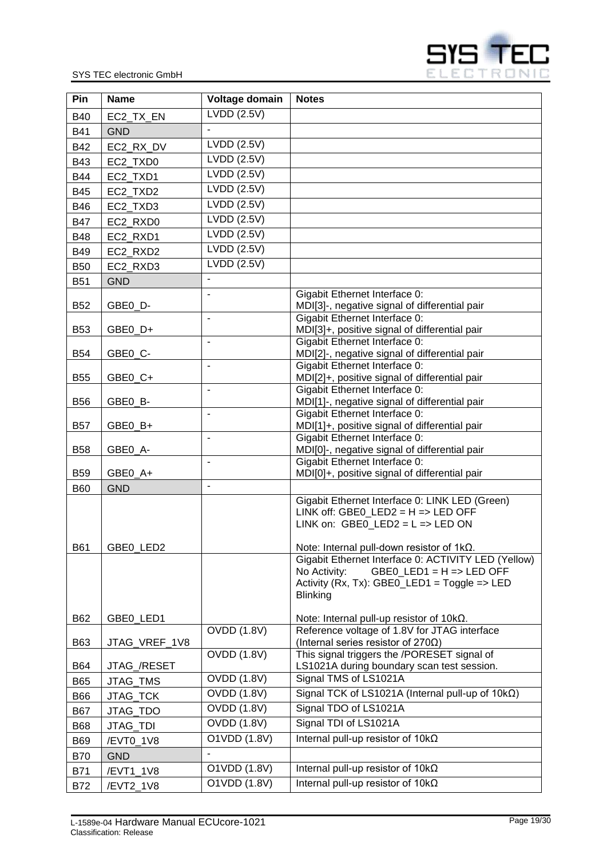

| Pin        | <b>Name</b>            | Voltage domain           | <b>Notes</b>                                                                              |
|------------|------------------------|--------------------------|-------------------------------------------------------------------------------------------|
| <b>B40</b> | EC2_TX_EN              | LVDD(2.5V)               |                                                                                           |
| <b>B41</b> | <b>GND</b>             |                          |                                                                                           |
| <b>B42</b> | EC2_RX_DV              | LVDD (2.5V)              |                                                                                           |
| <b>B43</b> | EC2_TXD0               | LVDD(2.5V)               |                                                                                           |
| <b>B44</b> | EC2_TXD1               | LVDD (2.5V)              |                                                                                           |
| <b>B45</b> | EC2 TXD2               | LVDD(2.5V)               |                                                                                           |
| <b>B46</b> | EC2 TXD3               | LVDD (2.5V)              |                                                                                           |
| <b>B47</b> | EC2 RXD0               | LVDD (2.5V)              |                                                                                           |
| <b>B48</b> | EC2_RXD1               | $LVDD$ $(2.5V)$          |                                                                                           |
| <b>B49</b> | EC2_RXD2               | LVDD(2.5V)               |                                                                                           |
| <b>B50</b> |                        | LVDD (2.5V)              |                                                                                           |
| <b>B51</b> | EC2_RXD3<br><b>GND</b> | $\overline{\phantom{a}}$ |                                                                                           |
|            |                        |                          | Gigabit Ethernet Interface 0:                                                             |
| <b>B52</b> | GBE0_D-                |                          | MDI[3]-, negative signal of differential pair                                             |
|            |                        | ÷,                       | Gigabit Ethernet Interface 0:                                                             |
| <b>B53</b> | GBE0_D+                |                          | MDI[3]+, positive signal of differential pair                                             |
|            |                        | $\overline{a}$           | Gigabit Ethernet Interface 0:                                                             |
| <b>B54</b> | GBE0_C-                | $\overline{\phantom{a}}$ | MDI[2]-, negative signal of differential pair<br>Gigabit Ethernet Interface 0:            |
| <b>B55</b> | GBE0_C+                |                          | MDI[2]+, positive signal of differential pair                                             |
|            |                        | $\overline{\phantom{a}}$ | Gigabit Ethernet Interface 0:                                                             |
| <b>B56</b> | GBE0_B-                |                          | MDI[1]-, negative signal of differential pair                                             |
|            |                        | $\blacksquare$           | Gigabit Ethernet Interface 0:                                                             |
| <b>B57</b> | GBE0_B+                | $\overline{\phantom{a}}$ | MDI[1]+, positive signal of differential pair<br>Gigabit Ethernet Interface 0:            |
| <b>B58</b> | GBE0_A-                |                          | MDI[0]-, negative signal of differential pair                                             |
|            |                        | $\overline{a}$           | Gigabit Ethernet Interface 0:                                                             |
| <b>B59</b> | GBE0_A+                |                          | MDI[0]+, positive signal of differential pair                                             |
| <b>B60</b> | <b>GND</b>             | $\overline{a}$           |                                                                                           |
|            |                        |                          | Gigabit Ethernet Interface 0: LINK LED (Green)                                            |
|            |                        |                          | LINK off: GBE0 LED2 = $H =$ LED OFF<br>LINK on: GBE0_LED2 = $L$ => LED ON                 |
|            |                        |                          |                                                                                           |
| B61        | GBE0 LED2              |                          | Note: Internal pull-down resistor of $1k\Omega$ .                                         |
|            |                        |                          | Gigabit Ethernet Interface 0: ACTIVITY LED (Yellow)                                       |
|            |                        |                          | No Activity:<br>$GBEO$ _LED1 = H => LED OFF                                               |
|            |                        |                          | Activity (Rx, Tx): GBE0_LED1 = Toggle => LED<br><b>Blinking</b>                           |
|            |                        |                          |                                                                                           |
| B62        | GBE0_LED1              |                          | Note: Internal pull-up resistor of $10k\Omega$ .                                          |
|            |                        | <b>OVDD (1.8V)</b>       | Reference voltage of 1.8V for JTAG interface                                              |
| B63        | JTAG_VREF_1V8          | <b>OVDD (1.8V)</b>       | (Internal series resistor of 270 $\Omega$ )                                               |
| B64        | JTAG_/RESET            |                          | This signal triggers the /PORESET signal of<br>LS1021A during boundary scan test session. |
| <b>B65</b> | JTAG_TMS               | <b>OVDD (1.8V)</b>       | Signal TMS of LS1021A                                                                     |
| <b>B66</b> | JTAG_TCK               | <b>OVDD (1.8V)</b>       | Signal TCK of LS1021A (Internal pull-up of $10k\Omega$ )                                  |
| <b>B67</b> | JTAG_TDO               | <b>OVDD (1.8V)</b>       | Signal TDO of LS1021A                                                                     |
| <b>B68</b> |                        | <b>OVDD (1.8V)</b>       | Signal TDI of LS1021A                                                                     |
|            | JTAG_TDI               | O1VDD (1.8V)             | Internal pull-up resistor of $10k\Omega$                                                  |
| <b>B69</b> | /EVT0_1V8              |                          |                                                                                           |
| <b>B70</b> | <b>GND</b>             | O1VDD (1.8V)             | Internal pull-up resistor of $10k\Omega$                                                  |
| <b>B71</b> | /EVT1_1V8              | O1VDD (1.8V)             | Internal pull-up resistor of $10k\Omega$                                                  |
| <b>B72</b> | /EVT2_1V8              |                          |                                                                                           |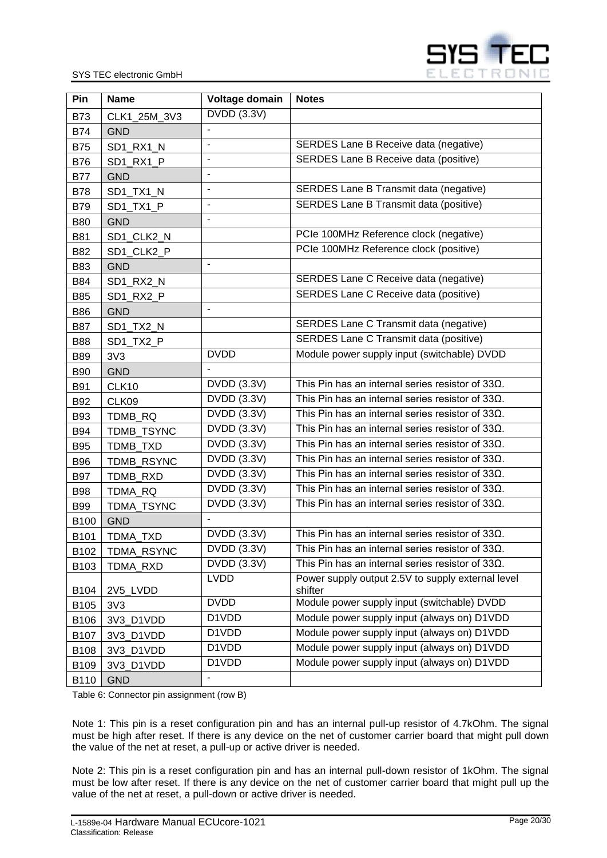

| Pin         | <b>Name</b>     | Voltage domain     | <b>Notes</b>                                                 |
|-------------|-----------------|--------------------|--------------------------------------------------------------|
| <b>B73</b>  | CLK1_25M_3V3    | DVDD (3.3V)        |                                                              |
| <b>B74</b>  | <b>GND</b>      |                    |                                                              |
| <b>B75</b>  | SD1 RX1 N       |                    | SERDES Lane B Receive data (negative)                        |
| <b>B76</b>  | SD1_RX1_P       | $\overline{a}$     | SERDES Lane B Receive data (positive)                        |
| <b>B77</b>  | <b>GND</b>      | $\blacksquare$     |                                                              |
| <b>B78</b>  | SD1_TX1_N       | ÷,                 | <b>SERDES Lane B Transmit data (negative)</b>                |
| <b>B79</b>  | SD1_TX1_P       | ÷,                 | SERDES Lane B Transmit data (positive)                       |
| <b>B80</b>  | <b>GND</b>      | ÷,                 |                                                              |
| <b>B81</b>  | SD1_CLK2_N      |                    | PCIe 100MHz Reference clock (negative)                       |
| <b>B82</b>  | SD1_CLK2_P      |                    | PCIe 100MHz Reference clock (positive)                       |
| <b>B83</b>  | <b>GND</b>      |                    |                                                              |
| B84         | SD1_RX2_N       |                    | SERDES Lane C Receive data (negative)                        |
| <b>B85</b>  | SD1 RX2 P       |                    | SERDES Lane C Receive data (positive)                        |
| <b>B86</b>  | <b>GND</b>      | $\overline{a}$     |                                                              |
| <b>B87</b>  | SD1 TX2 N       |                    | SERDES Lane C Transmit data (negative)                       |
| <b>B88</b>  | SD1 TX2 P       |                    | SERDES Lane C Transmit data (positive)                       |
| <b>B89</b>  | 3V3             | <b>DVDD</b>        | Module power supply input (switchable) DVDD                  |
| <b>B90</b>  | <b>GND</b>      |                    |                                                              |
| <b>B91</b>  | CLK10           | DVDD (3.3V)        | This Pin has an internal series resistor of $33\Omega$ .     |
| <b>B92</b>  | CLK09           | <b>DVDD</b> (3.3V) | This Pin has an internal series resistor of $33\Omega$ .     |
| <b>B93</b>  | TDMB_RQ         | DVDD (3.3V)        | This Pin has an internal series resistor of $33\Omega$ .     |
| <b>B94</b>  | TDMB_TSYNC      | <b>DVDD</b> (3.3V) | This Pin has an internal series resistor of $33\Omega$ .     |
| <b>B95</b>  | TDMB_TXD        | DVDD (3.3V)        | This Pin has an internal series resistor of $33\Omega$ .     |
| <b>B96</b>  | TDMB RSYNC      | <b>DVDD</b> (3.3V) | This Pin has an internal series resistor of $33\Omega$ .     |
| <b>B97</b>  | <b>TDMB RXD</b> | DVDD (3.3V)        | This Pin has an internal series resistor of $33\Omega$ .     |
| <b>B98</b>  | TDMA_RQ         | DVDD (3.3V)        | This Pin has an internal series resistor of $33\Omega$ .     |
| <b>B99</b>  | TDMA_TSYNC      | <b>DVDD (3.3V)</b> | This Pin has an internal series resistor of $33\Omega$ .     |
| <b>B100</b> | <b>GND</b>      | $\blacksquare$     |                                                              |
| B101        | TDMA_TXD        | <b>DVDD</b> (3.3V) | This Pin has an internal series resistor of $33\Omega$ .     |
| B102        | TDMA_RSYNC      | <b>DVDD (3.3V)</b> | This Pin has an internal series resistor of 33 $\Omega$ .    |
| B103        | TDMA_RXD        | <b>DVDD (3.3V)</b> | This Pin has an internal series resistor of $33\Omega$ .     |
| B104        | 2V5_LVDD        | <b>LVDD</b>        | Power supply output 2.5V to supply external level<br>shifter |
| B105        | 3V3             | <b>DVDD</b>        | Module power supply input (switchable) DVDD                  |
| B106        | 3V3_D1VDD       | D1VDD              | Module power supply input (always on) D1VDD                  |
| B107        | 3V3_D1VDD       | D1VDD              | Module power supply input (always on) D1VDD                  |
| B108        | 3V3_D1VDD       | D1VDD              | Module power supply input (always on) D1VDD                  |
| B109        | 3V3_D1VDD       | D1VDD              | Module power supply input (always on) D1VDD                  |
| B110        | <b>GND</b>      | $\blacksquare$     |                                                              |

<span id="page-19-0"></span>Table 6: Connector pin assignment (row B)

Note 1: This pin is a reset configuration pin and has an internal pull-up resistor of 4.7kOhm. The signal must be high after reset. If there is any device on the net of customer carrier board that might pull down the value of the net at reset, a pull-up or active driver is needed.

Note 2: This pin is a reset configuration pin and has an internal pull-down resistor of 1kOhm. The signal must be low after reset. If there is any device on the net of customer carrier board that might pull up the value of the net at reset, a pull-down or active driver is needed.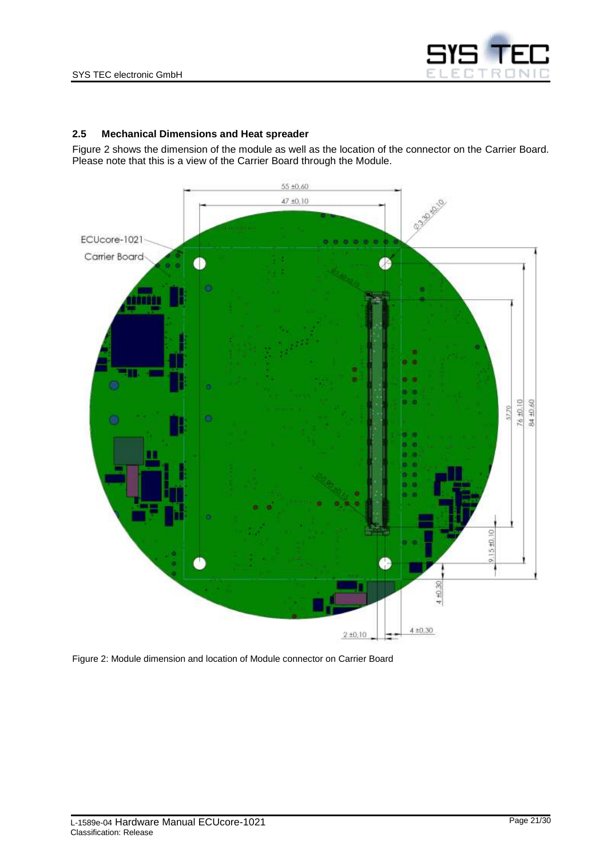

#### <span id="page-20-0"></span>**2.5 Mechanical Dimensions and Heat spreader**

[Figure 2](#page-20-1) shows the dimension of the module as well as the location of the connector on the Carrier Board. Please note that this is a view of the Carrier Board through the Module.



<span id="page-20-1"></span>Figure 2: Module dimension and location of Module connector on Carrier Board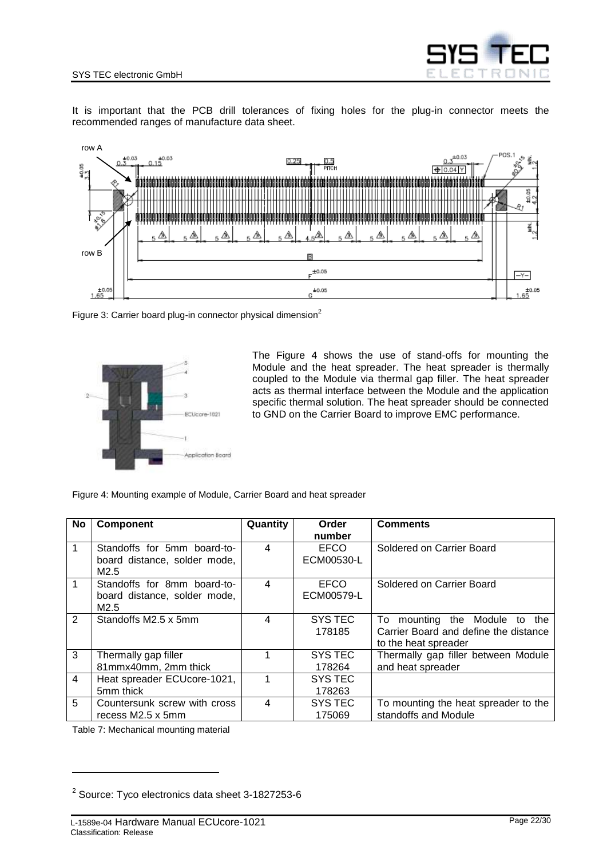

It is important that the PCB drill tolerances of fixing holes for the plug-in connector meets the recommended ranges of manufacture data sheet.



<span id="page-21-1"></span>Figure 3: Carrier board plug-in connector physical dimension<sup>2</sup>



The [Figure 4](#page-21-2) shows the use of stand-offs for mounting the Module and the heat spreader. The heat spreader is thermally coupled to the Module via thermal gap filler. The heat spreader acts as thermal interface between the Module and the application specific thermal solution. The heat spreader should be connected to GND on the Carrier Board to improve EMC performance.

<span id="page-21-2"></span>Figure 4: Mounting example of Module, Carrier Board and heat spreader

| No             | <b>Component</b>             | Quantity                | Order       | <b>Comments</b>                       |
|----------------|------------------------------|-------------------------|-------------|---------------------------------------|
|                |                              |                         | number      |                                       |
| 1              | Standoffs for 5mm board-to-  | 4                       | <b>EFCO</b> | Soldered on Carrier Board             |
|                | board distance, solder mode, |                         | ECM00530-L  |                                       |
|                | M <sub>2.5</sub>             |                         |             |                                       |
| $\mathbf 1$    | Standoffs for 8mm board-to-  | 4                       | <b>EFCO</b> | Soldered on Carrier Board             |
|                | board distance, solder mode, |                         | ECM00579-L  |                                       |
|                | M2.5                         |                         |             |                                       |
| $\overline{2}$ | Standoffs M2.5 x 5mm         | $\overline{\mathbf{4}}$ | SYS TEC     | mounting the Module to the<br>To:     |
|                |                              |                         | 178185      | Carrier Board and define the distance |
|                |                              |                         |             | to the heat spreader                  |
| 3              | Thermally gap filler         | 1                       | SYS TEC     | Thermally gap filler between Module   |
|                | 81mmx40mm, 2mm thick         |                         | 178264      | and heat spreader                     |
| $\overline{4}$ | Heat spreader ECUcore-1021,  |                         | SYS TEC     |                                       |
|                | 5mm thick                    |                         | 178263      |                                       |
| 5              | Countersunk screw with cross | 4                       | SYS TEC     | To mounting the heat spreader to the  |
|                | recess M2.5 x 5mm            |                         | 175069      | standoffs and Module                  |

<span id="page-21-0"></span>Table 7: Mechanical mounting material

l

 $^{2}$  Source: Tyco electronics data sheet 3-1827253-6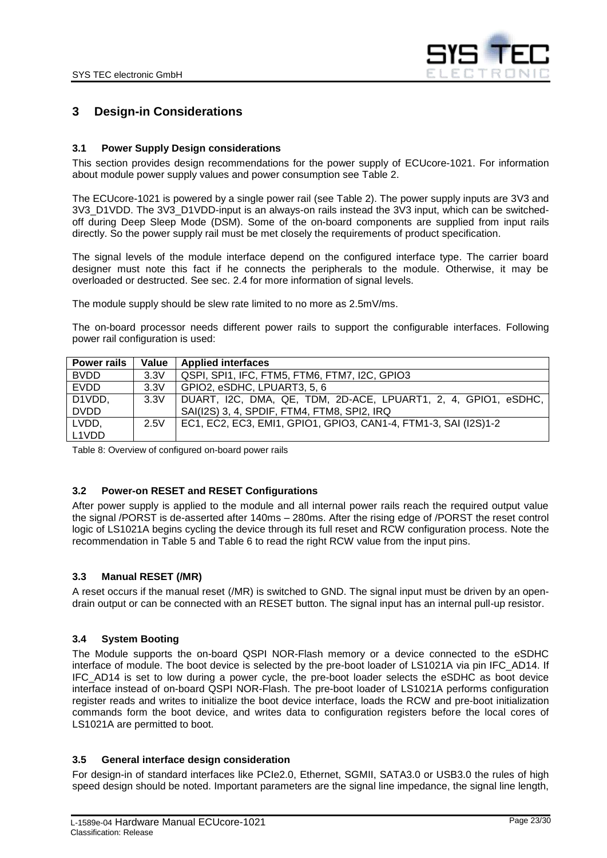

## <span id="page-22-1"></span>**3 Design-in Considerations**

#### <span id="page-22-2"></span>**3.1 Power Supply Design considerations**

This section provides design recommendations for the power supply of ECUcore-1021. For information about module power supply values and power consumption see [Table 2.](#page-10-0)

The ECUcore-1021 is powered by a single power rail (see [Table 2\)](#page-10-0). The power supply inputs are 3V3 and 3V3\_D1VDD. The 3V3\_D1VDD-input is an always-on rails instead the 3V3 input, which can be switchedoff during Deep Sleep Mode (DSM). Some of the on-board components are supplied from input rails directly. So the power supply rail must be met closely the requirements of product specification.

The signal levels of the module interface depend on the configured interface type. The carrier board designer must note this fact if he connects the peripherals to the module. Otherwise, it may be overloaded or destructed. See sec. [2.4](#page-13-1) for more information of signal levels.

The module supply should be slew rate limited to no more as 2.5mV/ms.

The on-board processor needs different power rails to support the configurable interfaces. Following power rail configuration is used:

| <b>Power rails</b> | Value | <b>Applied interfaces</b>                                       |
|--------------------|-------|-----------------------------------------------------------------|
| <b>BVDD</b>        | 3.3V  | QSPI, SPI1, IFC, FTM5, FTM6, FTM7, I2C, GPIO3                   |
| <b>EVDD</b>        | 3.3V  | GPIO2, eSDHC, LPUART3, 5, 6                                     |
| D1VDD,             | 3.3V  | DUART, I2C, DMA, QE, TDM, 2D-ACE, LPUART1, 2, 4, GPIO1, eSDHC,  |
| <b>DVDD</b>        |       | SAI(I2S) 3, 4, SPDIF, FTM4, FTM8, SPI2, IRQ                     |
| LVDD,              | 2.5V  | EC1, EC2, EC3, EMI1, GPIO1, GPIO3, CAN1-4, FTM1-3, SAI (I2S)1-2 |
| L1VDD              |       |                                                                 |

<span id="page-22-6"></span>Table 8: Overview of configured on-board power rails

#### <span id="page-22-3"></span>**3.2 Power-on RESET and RESET Configurations**

After power supply is applied to the module and all internal power rails reach the required output value the signal /PORST is de-asserted after 140ms – 280ms. After the rising edge of /PORST the reset control logic of LS1021A begins cycling the device through its full reset and RCW configuration process. Note the recommendation in [Table 5](#page-16-0) and [Table 6](#page-19-0) to read the right RCW value from the input pins.

#### <span id="page-22-4"></span>**3.3 Manual RESET (/MR)**

A reset occurs if the manual reset (/MR) is switched to GND. The signal input must be driven by an opendrain output or can be connected with an RESET button. The signal input has an internal pull-up resistor.

#### <span id="page-22-5"></span>**3.4 System Booting**

The Module supports the on-board QSPI NOR-Flash memory or a device connected to the eSDHC interface of module. The boot device is selected by the pre-boot loader of LS1021A via pin IFC\_AD14. If IFC\_AD14 is set to low during a power cycle, the pre-boot loader selects the eSDHC as boot device interface instead of on-board QSPI NOR-Flash. The pre-boot loader of LS1021A performs configuration register reads and writes to initialize the boot device interface, loads the RCW and pre-boot initialization commands form the boot device, and writes data to configuration registers before the local cores of LS1021A are permitted to boot.

#### <span id="page-22-0"></span>**3.5 General interface design consideration**

For design-in of standard interfaces like PCIe2.0, Ethernet, SGMII, SATA3.0 or USB3.0 the rules of high speed design should be noted. Important parameters are the signal line impedance, the signal line length,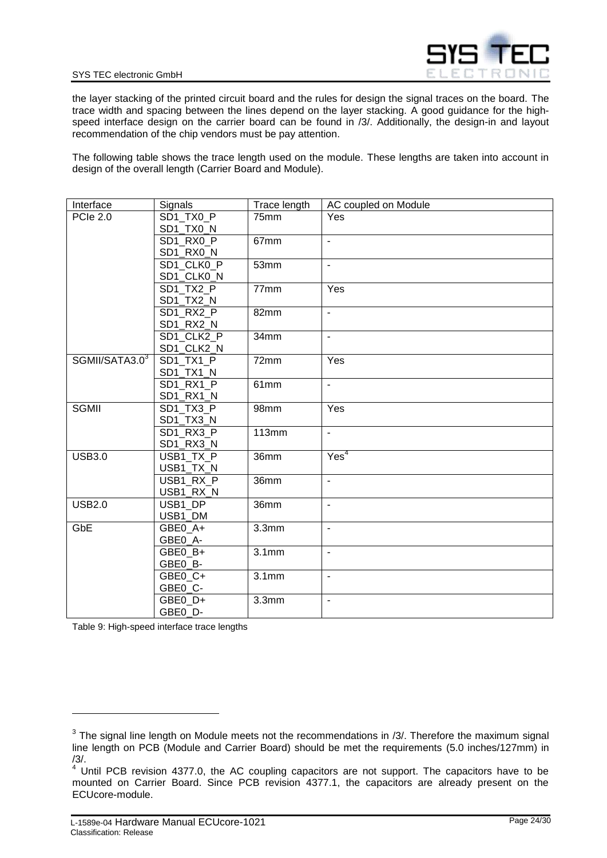

the layer stacking of the printed circuit board and the rules for design the signal traces on the board. The trace width and spacing between the lines depend on the layer stacking. A good guidance for the high-speed interface design on the carrier board can be found in [/3/.](#page-5-1) Additionally, the design-in and layout recommendation of the chip vendors must be pay attention.

The following table shows the trace length used on the module. These lengths are taken into account in design of the overall length (Carrier Board and Module).

| Interface       | Signals                | Trace length      | AC coupled on Module     |
|-----------------|------------------------|-------------------|--------------------------|
| <b>PCIe 2.0</b> | SD1 TX0 P              | 75mm              | Yes                      |
|                 | SD1_TX0_N              |                   |                          |
|                 | SD1 RX0 P              | 67mm              | $\blacksquare$           |
|                 | SD1_RX0_N              |                   |                          |
|                 | SD1_CLK0_P             | 53mm              | $\mathbf{r}$             |
|                 | SD1_CLK0_N             |                   |                          |
|                 | SD1 TX2 P              | 77mm              | Yes                      |
|                 | SD1_TX2_N              |                   |                          |
|                 | SD1 RX2 P              | 82mm              | $\overline{a}$           |
|                 | SD1_RX2_N              |                   |                          |
|                 | SD1 CLK2 P             | 34mm              | $\blacksquare$           |
|                 | SD1_CLK2_N             |                   |                          |
| SGMII/SATA3.03  | SD1 TX1 P              | 72mm              | Yes                      |
|                 | SD1_TX1_N              |                   |                          |
|                 | $\overline{SD1}$ RX1_P | 61mm              | ÷,                       |
|                 | SD1_RX1_N              |                   |                          |
| <b>SGMII</b>    | SD1 TX3 P              | 98mm              | Yes                      |
|                 | SD1_TX3_N              |                   |                          |
|                 | SD1_RX3_P              | <b>113mm</b>      | $\blacksquare$           |
|                 | SD1_RX3_N              |                   |                          |
| <b>USB3.0</b>   | USB1_TX_P              | 36mm              | Yes <sup>4</sup>         |
|                 | USB1_TX_N              |                   |                          |
|                 | USB1_RX_P              | 36mm              | $\mathbf{r}$             |
|                 | USB1_RX_N              |                   |                          |
| <b>USB2.0</b>   | USB1 DP                | 36mm              | $\overline{\phantom{a}}$ |
|                 | USB1_DM                |                   |                          |
| GbE             | GBE0 A+                | 3.3 <sub>mm</sub> | $\blacksquare$           |
|                 | GBE0_A-                |                   |                          |
|                 | GBE0 B+                | 3.1 <sub>mm</sub> | ÷,                       |
|                 | GBE0_B-                |                   |                          |
|                 | GBE0 C+                | 3.1 <sub>mm</sub> | ÷,                       |
|                 | GBE0_C-                |                   |                          |
|                 | GBE0 D+                | 3.3 <sub>mm</sub> | ÷,                       |
|                 | GBE0 D-                |                   |                          |

<span id="page-23-0"></span>Table 9: High-speed interface trace lengths

l

 $3$  The signal line length on Module meets not the recommendations in [/3/.](#page-5-1) Therefore the maximum signal line length on PCB (Module and Carrier Board) should be met the requirements (5.0 inches/127mm) in [/3/.](#page-5-1)

 $4$  Until PCB revision 4377.0, the AC coupling capacitors are not support. The capacitors have to be mounted on Carrier Board. Since PCB revision 4377.1, the capacitors are already present on the ECUcore-module.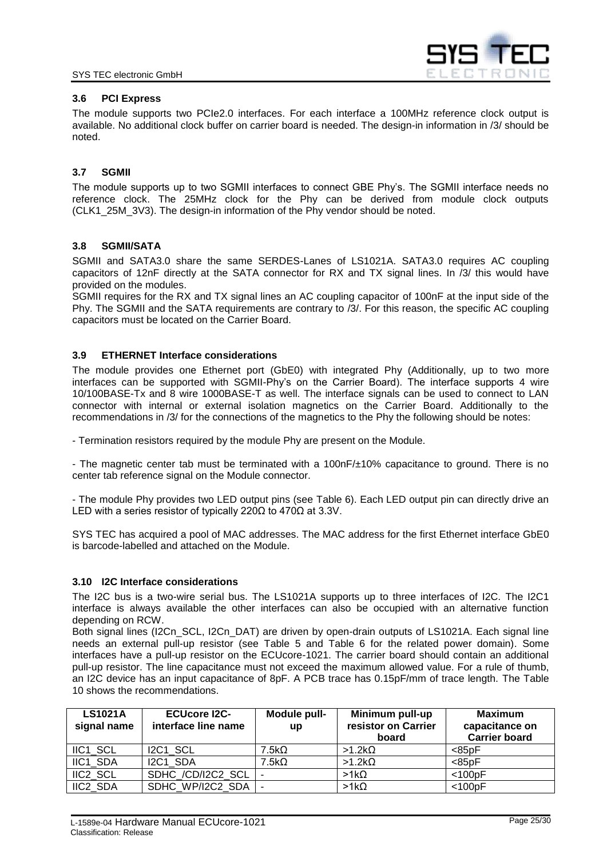

#### <span id="page-24-0"></span>**3.6 PCI Express**

The module supports two PCIe2.0 interfaces. For each interface a 100MHz reference clock output is available. No additional clock buffer on carrier board is needed. The design-in information in [/3/](#page-5-1) should be noted.

#### <span id="page-24-1"></span>**3.7 SGMII**

The module supports up to two SGMII interfaces to connect GBE Phy's. The SGMII interface needs no reference clock. The 25MHz clock for the Phy can be derived from module clock outputs (CLK1\_25M\_3V3). The design-in information of the Phy vendor should be noted.

#### <span id="page-24-2"></span>**3.8 SGMII/SATA**

SGMII and SATA3.0 share the same SERDES-Lanes of LS1021A. SATA3.0 requires AC coupling capacitors of 12nF directly at the SATA connector for RX and TX signal lines. In [/3/](#page-5-1) this would have provided on the modules.

SGMII requires for the RX and TX signal lines an AC coupling capacitor of 100nF at the input side of the Phy. The SGMII and the SATA requirements are contrary to [/3/.](#page-5-1) For this reason, the specific AC coupling capacitors must be located on the Carrier Board.

#### <span id="page-24-3"></span>**3.9 ETHERNET Interface considerations**

The module provides one Ethernet port (GbE0) with integrated Phy (Additionally, up to two more interfaces can be supported with SGMII-Phy's on the Carrier Board). The interface supports 4 wire 10/100BASE-Tx and 8 wire 1000BASE-T as well. The interface signals can be used to connect to LAN connector with internal or external isolation magnetics on the Carrier Board. Additionally to the recommendations in /3/ for the connections of the magnetics to the Phy the following should be notes:

- Termination resistors required by the module Phy are present on the Module.

- The magnetic center tab must be terminated with a 100nF/±10% capacitance to ground. There is no center tab reference signal on the Module connector.

- The module Phy provides two LED output pins (see [Table 6\)](#page-19-0). Each LED output pin can directly drive an LED with a series resistor of typically 220Ω to 470Ω at 3.3V.

SYS TEC has acquired a pool of MAC addresses. The MAC address for the first Ethernet interface GbE0 is barcode-labelled and attached on the Module.

#### <span id="page-24-4"></span>**3.10 I2C Interface considerations**

The I2C bus is a two-wire serial bus. The LS1021A supports up to three interfaces of I2C. The I2C1 interface is always available the other interfaces can also be occupied with an alternative function depending on RCW.

Both signal lines (I2Cn, SCL, I2Cn, DAT) are driven by open-drain outputs of LS1021A. Each signal line needs an external pull-up resistor (see [Table 5](#page-16-0) and [Table 6](#page-19-0) for the related power domain). Some interfaces have a pull-up resistor on the ECUcore-1021. The carrier board should contain an additional pull-up resistor. The line capacitance must not exceed the maximum allowed value. For a rule of thumb, an I2C device has an input capacitance of 8pF. A PCB trace has 0.15pF/mm of trace length. The [Table](#page-25-5)  [10](#page-25-5) shows the recommendations.

| <b>LS1021A</b><br>signal name | <b>ECUcore I2C-</b><br>interface line name | Module pull-<br>up | Minimum pull-up<br>resistor on Carrier<br>board | <b>Maximum</b><br>capacitance on<br><b>Carrier board</b> |
|-------------------------------|--------------------------------------------|--------------------|-------------------------------------------------|----------------------------------------------------------|
| IIC1 SCL                      | I2C1 SCL                                   | 7.5k <sub>Ω</sub>  | $>1.2k\Omega$                                   | $85pF$                                                   |
| IIC1 SDA                      | I2C1 SDA                                   | 7.5k <sub>Ω</sub>  | $>1.2k\Omega$                                   | $85pF$                                                   |
| IIC2 SCL                      | SDHC /CD/I2C2 SCL                          |                    | $>1k\Omega$                                     | $<$ 100pF                                                |
| IIC2 SDA                      | SDHC WP/I2C2 SDA                           |                    | $>1k\Omega$                                     | $<$ 100pF                                                |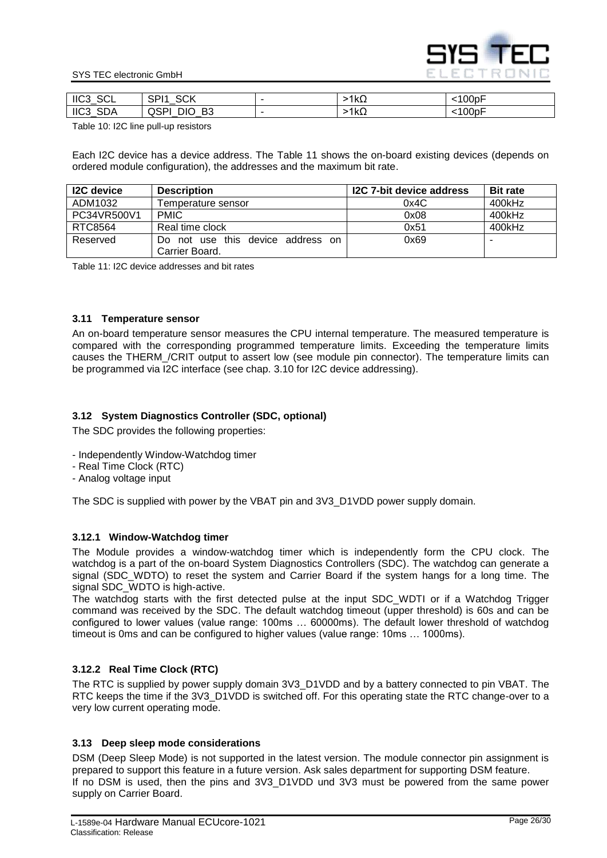

#### SYS TEC electronic GmbH

| <b>SCL</b><br>$\parallel$ IIC3_ | <b>COV</b><br>CD <sub>14</sub><br>◡∩<br>اب |                          | ⊴kΩ | .100pF      |
|---------------------------------|--------------------------------------------|--------------------------|-----|-------------|
| <b>SDA</b><br>IIC3              | B <sub>3</sub><br>טוני -<br>uər<br>_<br>_  | $\overline{\phantom{a}}$ | 1kΩ | $100$ p $F$ |

<span id="page-25-5"></span>Table 10: I2C line pull-up resistors

Each I2C device has a device address. The [Table 11](#page-25-6) shows the on-board existing devices (depends on ordered module configuration), the addresses and the maximum bit rate.

| <b>I2C</b> device | <b>Description</b>                                      | I2C 7-bit device address | <b>Bit rate</b> |
|-------------------|---------------------------------------------------------|--------------------------|-----------------|
| ADM1032           | Femperature sensor                                      | 0x4C                     | 400kHz          |
| PC34VR500V1       | <b>PMIC</b>                                             | 0x08                     | 400kHz          |
| RTC8564           | Real time clock                                         | 0x51                     | 400kHz          |
| Reserved          | not use this device address on<br>Do.<br>Carrier Board. | 0x69                     |                 |

<span id="page-25-6"></span>Table 11: I2C device addresses and bit rates

#### <span id="page-25-2"></span>**3.11 Temperature sensor**

An on-board temperature sensor measures the CPU internal temperature. The measured temperature is compared with the corresponding programmed temperature limits. Exceeding the temperature limits causes the THERM\_/CRIT output to assert low (see module pin connector). The temperature limits can be programmed via I2C interface (see chap. [3.10](#page-24-4) for I2C device addressing).

#### <span id="page-25-0"></span>**3.12 System Diagnostics Controller (SDC, optional)**

The SDC provides the following properties:

- Independently Window-Watchdog timer
- Real Time Clock (RTC)
- Analog voltage input

The SDC is supplied with power by the VBAT pin and 3V3\_D1VDD power supply domain.

#### <span id="page-25-3"></span>**3.12.1 Window-Watchdog timer**

The Module provides a window-watchdog timer which is independently form the CPU clock. The watchdog is a part of the on-board System Diagnostics Controllers (SDC). The watchdog can generate a signal (SDC\_WDTO) to reset the system and Carrier Board if the system hangs for a long time. The signal SDC WDTO is high-active.

The watchdog starts with the first detected pulse at the input SDC\_WDTI or if a Watchdog Trigger command was received by the SDC. The default watchdog timeout (upper threshold) is 60s and can be configured to lower values (value range: 100ms … 60000ms). The default lower threshold of watchdog timeout is 0ms and can be configured to higher values (value range: 10ms … 1000ms).

#### <span id="page-25-4"></span>**3.12.2 Real Time Clock (RTC)**

The RTC is supplied by power supply domain 3V3 D1VDD and by a battery connected to pin VBAT. The RTC keeps the time if the 3V3\_D1VDD is switched off. For this operating state the RTC change-over to a very low current operating mode.

#### <span id="page-25-1"></span>**3.13 Deep sleep mode considerations**

DSM (Deep Sleep Mode) is not supported in the latest version. The module connector pin assignment is prepared to support this feature in a future version. Ask sales department for supporting DSM feature. If no DSM is used, then the pins and 3V3\_D1VDD und 3V3 must be powered from the same power supply on Carrier Board.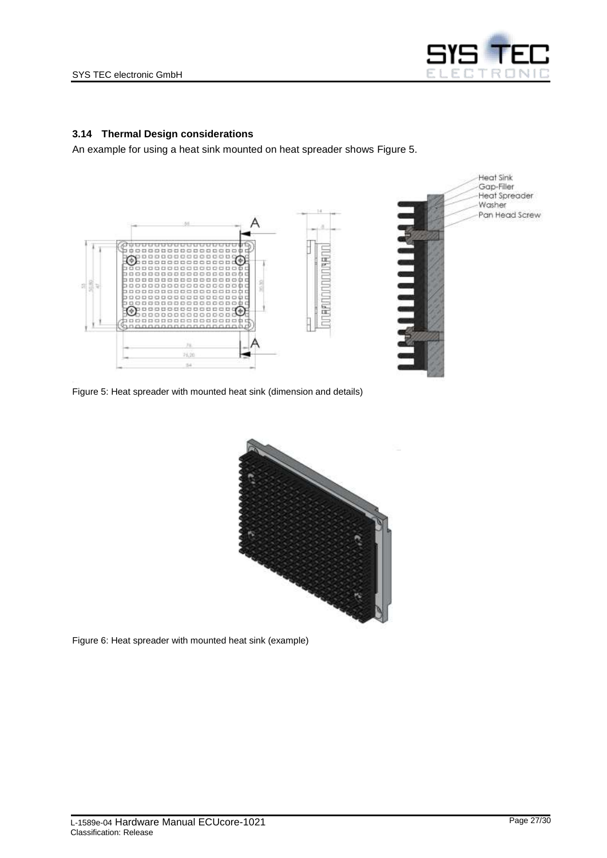

#### <span id="page-26-0"></span>**3.14 Thermal Design considerations**

An example for using a heat sink mounted on heat spreader shows [Figure 5.](#page-26-1)



<span id="page-26-1"></span>Figure 5: Heat spreader with mounted heat sink (dimension and details)



<span id="page-26-2"></span>Figure 6: Heat spreader with mounted heat sink (example)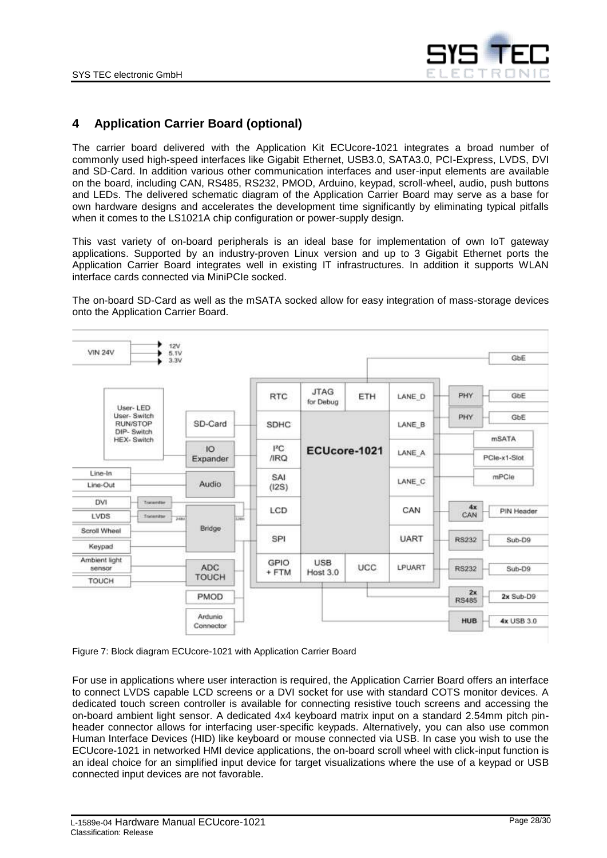

## <span id="page-27-0"></span>**4 Application Carrier Board (optional)**

The carrier board delivered with the Application Kit ECUcore-1021 integrates a broad number of commonly used high-speed interfaces like Gigabit Ethernet, USB3.0, SATA3.0, PCI-Express, LVDS, DVI and SD-Card. In addition various other communication interfaces and user-input elements are available on the board, including CAN, RS485, RS232, PMOD, Arduino, keypad, scroll-wheel, audio, push buttons and LEDs. The delivered schematic diagram of the Application Carrier Board may serve as a base for own hardware designs and accelerates the development time significantly by eliminating typical pitfalls when it comes to the LS1021A chip configuration or power-supply design.

This vast variety of on-board peripherals is an ideal base for implementation of own IoT gateway applications. Supported by an industry-proven Linux version and up to 3 Gigabit Ethernet ports the Application Carrier Board integrates well in existing IT infrastructures. In addition it supports WLAN interface cards connected via MiniPCIe socked.

The on-board SD-Card as well as the mSATA socked allow for easy integration of mass-storage devices onto the Application Carrier Board.



<span id="page-27-1"></span>Figure 7: Block diagram ECUcore-1021 with Application Carrier Board

For use in applications where user interaction is required, the Application Carrier Board offers an interface to connect LVDS capable LCD screens or a DVI socket for use with standard COTS monitor devices. A dedicated touch screen controller is available for connecting resistive touch screens and accessing the on-board ambient light sensor. A dedicated 4x4 keyboard matrix input on a standard 2.54mm pitch pinheader connector allows for interfacing user-specific keypads. Alternatively, you can also use common Human Interface Devices (HID) like keyboard or mouse connected via USB. In case you wish to use the ECUcore-1021 in networked HMI device applications, the on-board scroll wheel with click-input function is an ideal choice for an simplified input device for target visualizations where the use of a keypad or USB connected input devices are not favorable.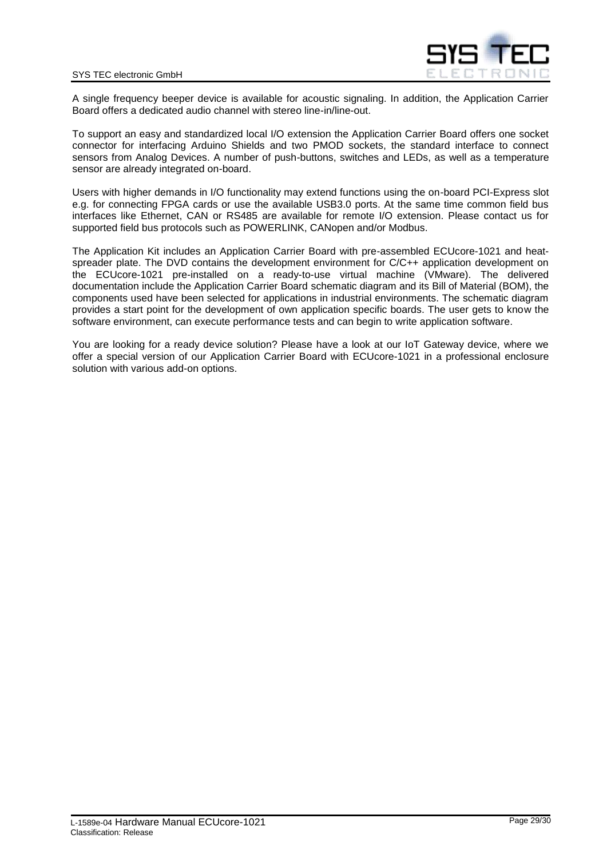

A single frequency beeper device is available for acoustic signaling. In addition, the Application Carrier Board offers a dedicated audio channel with stereo line-in/line-out.

To support an easy and standardized local I/O extension the Application Carrier Board offers one socket connector for interfacing Arduino Shields and two PMOD sockets, the standard interface to connect sensors from Analog Devices. A number of push-buttons, switches and LEDs, as well as a temperature sensor are already integrated on-board.

Users with higher demands in I/O functionality may extend functions using the on-board PCI-Express slot e.g. for connecting FPGA cards or use the available USB3.0 ports. At the same time common field bus interfaces like Ethernet, CAN or RS485 are available for remote I/O extension. Please contact us for supported field bus protocols such as POWERLINK, CANopen and/or Modbus.

The Application Kit includes an Application Carrier Board with pre-assembled ECUcore-1021 and heatspreader plate. The DVD contains the development environment for C/C++ application development on the ECUcore-1021 pre-installed on a ready-to-use virtual machine (VMware). The delivered documentation include the Application Carrier Board schematic diagram and its Bill of Material (BOM), the components used have been selected for applications in industrial environments. The schematic diagram provides a start point for the development of own application specific boards. The user gets to know the software environment, can execute performance tests and can begin to write application software.

You are looking for a ready device solution? Please have a look at our IoT Gateway device, where we offer a special version of our Application Carrier Board with ECUcore-1021 in a professional enclosure solution with various add-on options.